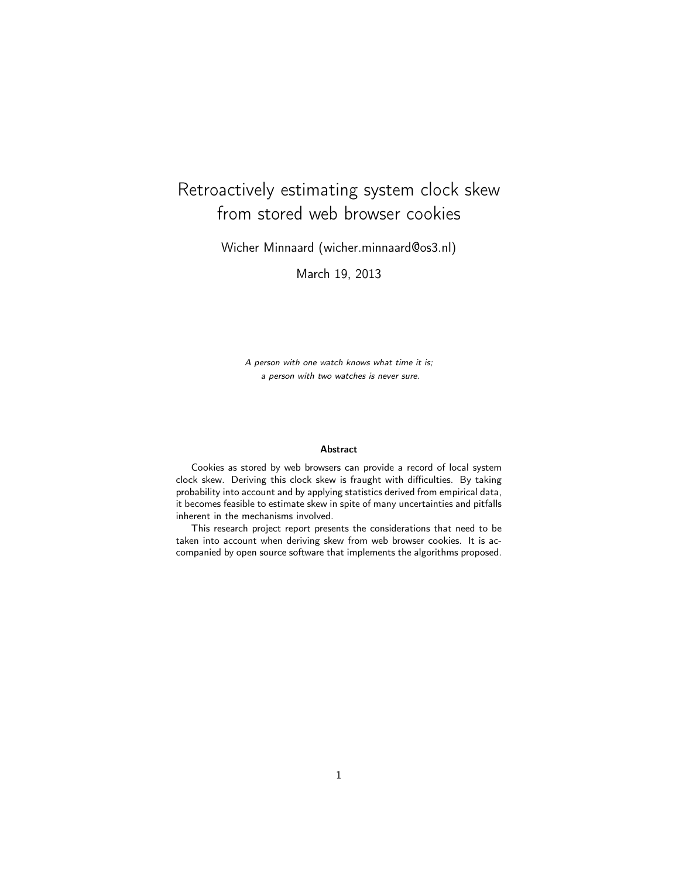# Retroactively estimating system clock skew from stored web browser cookies

Wicher Minnaard (wicher.minnaard@os3.nl)

March 19, 2013

A person with one watch knows what time it is; a person with two watches is never sure.

#### Abstract

Cookies as stored by web browsers can provide a record of local system clock skew. Deriving this clock skew is fraught with difficulties. By taking probability into account and by applying statistics derived from empirical data, it becomes feasible to estimate skew in spite of many uncertainties and pitfalls inherent in the mechanisms involved.

This research project report presents the considerations that need to be taken into account when deriving skew from web browser cookies. It is accompanied by open source software that implements the algorithms proposed.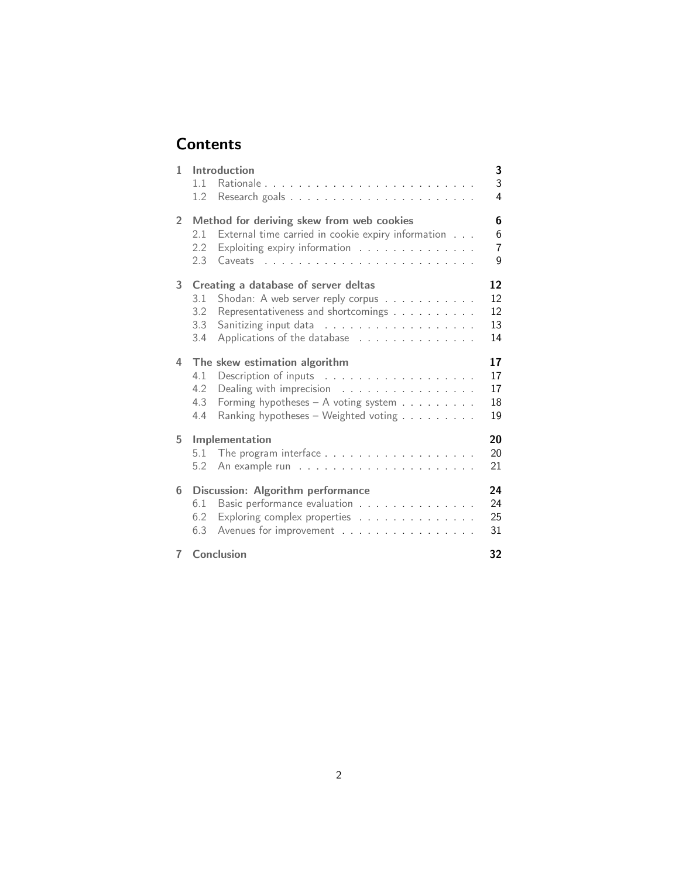# **Contents**

| 1              | Introduction<br>$1\quad1$<br>1.2                                                                                                                                                                    | 3<br>3<br>4                |
|----------------|-----------------------------------------------------------------------------------------------------------------------------------------------------------------------------------------------------|----------------------------|
| $\overline{2}$ | Method for deriving skew from web cookies<br>External time carried in cookie expiry information<br>2.1<br>Exploiting expiry information<br>2.2<br>2.3                                               | 6<br>6<br>7<br>9           |
| 3              | Creating a database of server deltas<br>Shodan: A web server reply corpus<br>3.1<br>3.2<br>Representativeness and shortcomings<br>3.3<br>Applications of the database<br>3.4                        | 12<br>12<br>12<br>13<br>14 |
| 4              | The skew estimation algorithm<br>4.1<br>4.2<br>Dealing with imprecision $\ldots \ldots \ldots \ldots$<br>4.3<br>Forming hypotheses - A voting system<br>Ranking hypotheses - Weighted voting<br>4.4 | 17<br>17<br>17<br>18<br>19 |
| 5              | Implementation<br>5.1<br>5.2                                                                                                                                                                        | 20<br>20<br>21             |
| 6              | Discussion: Algorithm performance<br>Basic performance evaluation<br>6.1<br>Exploring complex properties<br>6.2<br>Avenues for improvement<br>6.3                                                   | 24<br>24<br>25<br>31       |
| $7^{\circ}$    | Conclusion                                                                                                                                                                                          | 32                         |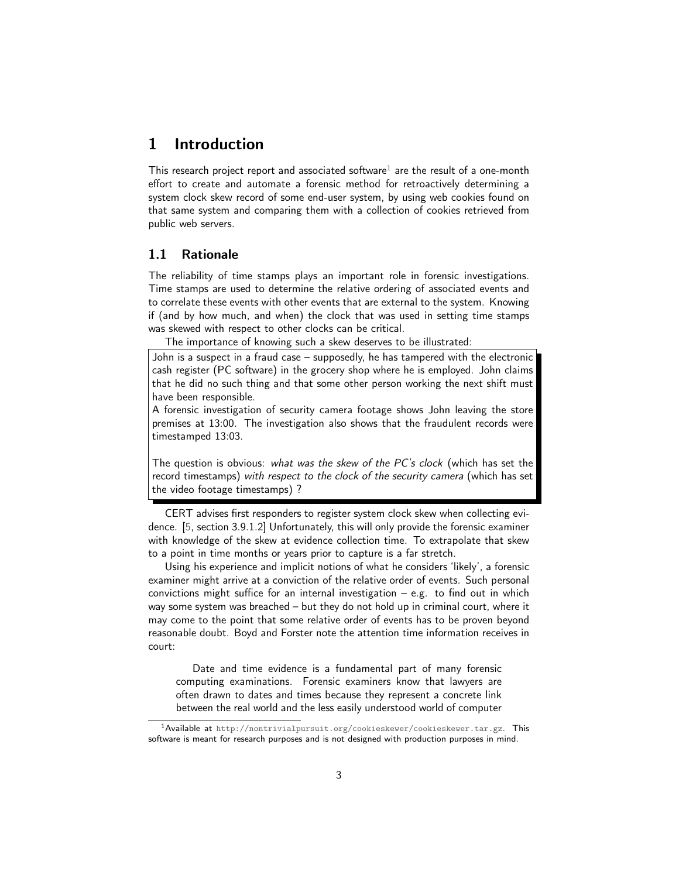# <span id="page-2-0"></span>1 Introduction

This research project report and associated software<sup>[1](#page-2-2)</sup> are the result of a one-month effort to create and automate a forensic method for retroactively determining a system clock skew record of some end-user system, by using web cookies found on that same system and comparing them with a collection of cookies retrieved from public web servers.

### <span id="page-2-1"></span>1.1 Rationale

The reliability of time stamps plays an important role in forensic investigations. Time stamps are used to determine the relative ordering of associated events and to correlate these events with other events that are external to the system. Knowing if (and by how much, and when) the clock that was used in setting time stamps was skewed with respect to other clocks can be critical.

The importance of knowing such a skew deserves to be illustrated:

John is a suspect in a fraud case – supposedly, he has tampered with the electronic cash register (PC software) in the grocery shop where he is employed. John claims that he did no such thing and that some other person working the next shift must have been responsible.

A forensic investigation of security camera footage shows John leaving the store premises at 13:00. The investigation also shows that the fraudulent records were timestamped 13:03.

The question is obvious: what was the skew of the PC's clock (which has set the record timestamps) with respect to the clock of the security camera (which has set the video footage timestamps) ?

CERT advises first responders to register system clock skew when collecting evidence. [\[5,](#page-31-1) section 3.9.1.2] Unfortunately, this will only provide the forensic examiner with knowledge of the skew at evidence collection time. To extrapolate that skew to a point in time months or years prior to capture is a far stretch.

Using his experience and implicit notions of what he considers 'likely', a forensic examiner might arrive at a conviction of the relative order of events. Such personal convictions might suffice for an internal investigation  $-$  e.g. to find out in which way some system was breached – but they do not hold up in criminal court, where it may come to the point that some relative order of events has to be proven beyond reasonable doubt. Boyd and Forster note the attention time information receives in court:

Date and time evidence is a fundamental part of many forensic computing examinations. Forensic examiners know that lawyers are often drawn to dates and times because they represent a concrete link between the real world and the less easily understood world of computer

<span id="page-2-2"></span><sup>1</sup>Available at <http://nontrivialpursuit.org/cookieskewer/cookieskewer.tar.gz>. This software is meant for research purposes and is not designed with production purposes in mind.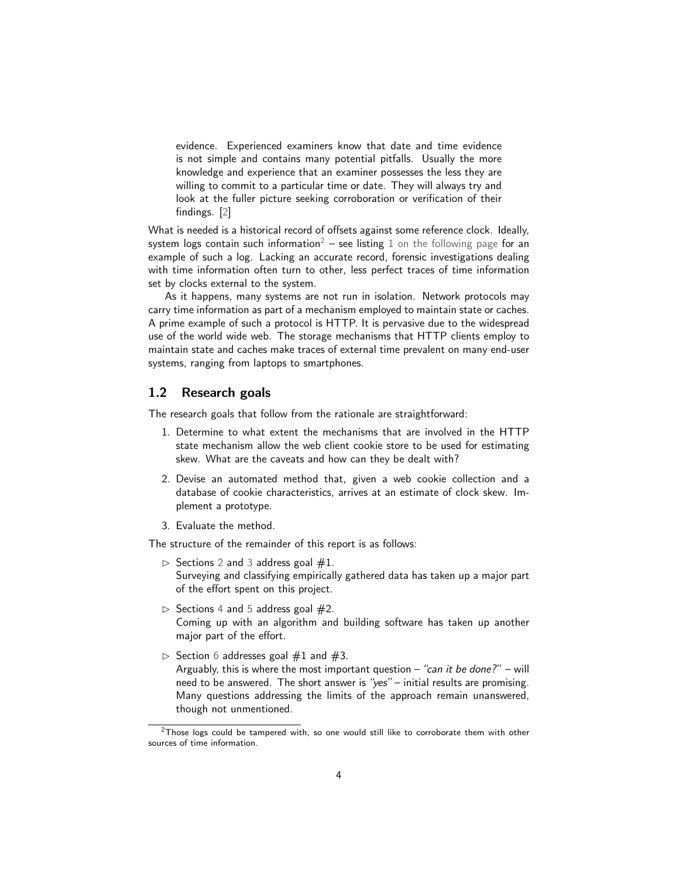evidence. Experienced examiners know that date and time evidence is not simple and contains many potential pitfalls. Usually the more knowledge and experience that an examiner possesses the less they are willing to commit to a particular time or date. They will always try and look at the fuller picture seeking corroboration or verification of their findings. [\[2\]](#page-31-2)

What is needed is a historical record of offsets against some reference clock. Ideally, system logs contain such information<sup>[2](#page-3-1)</sup> – see listing [1 on the following page](#page-4-0) for an example of such a log. Lacking an accurate record, forensic investigations dealing with time information often turn to other, less perfect traces of time information set by clocks external to the system.

As it happens, many systems are not run in isolation. Network protocols may carry time information as part of a mechanism employed to maintain state or caches. A prime example of such a protocol is HTTP. It is pervasive due to the widespread use of the world wide web. The storage mechanisms that HTTP clients employ to maintain state and caches make traces of external time prevalent on many end-user systems, ranging from laptops to smartphones.

### <span id="page-3-0"></span>1.2 Research goals

The research goals that follow from the rationale are straightforward:

- 1. Determine to what extent the mechanisms that are involved in the HTTP state mechanism allow the web client cookie store to be used for estimating skew. What are the caveats and how can they be dealt with?
- 2. Devise an automated method that, given a web cookie collection and a database of cookie characteristics, arrives at an estimate of clock skew. Implement a prototype.
- 3. Evaluate the method.

The structure of the remainder of this report is as follows:

- $\triangleright$  Sections [2](#page-5-0) and [3](#page-11-0) address goal #1. Surveying and classifying empirically gathered data has taken up a major part of the effort spent on this project.
- $\triangleright$  Sections [4](#page-16-0) and [5](#page-19-0) address goal  $#2$ . Coming up with an algorithm and building software has taken up another major part of the effort.
- $\triangleright$  Section [6](#page-23-0) addresses goal #1 and #3. Arguably, this is where the most important question – "can it be done?" – will need to be answered. The short answer is "yes" – initial results are promising. Many questions addressing the limits of the approach remain unanswered, though not unmentioned.

<span id="page-3-1"></span> $2$ Those logs could be tampered with, so one would still like to corroborate them with other sources of time information.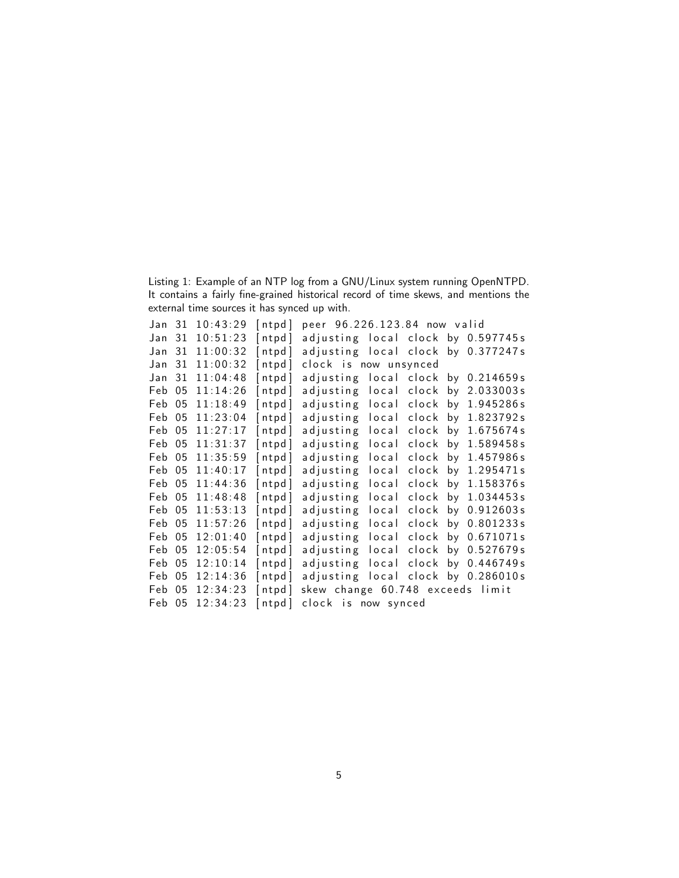<span id="page-4-0"></span>Listing 1: Example of an NTP log from a GNU/Linux system running OpenNTPD. It contains a fairly fine-grained historical record of time skews, and mentions the external time sources it has synced up with.

| Jan    | 31   | 10:43:29 | [ntpd]  | peer 96.226.123.84 now valid       |       |                      |
|--------|------|----------|---------|------------------------------------|-------|----------------------|
| Jan    | 31   | 10:51:23 | [ntpd]  | adjusting local clock by 0.597745s |       |                      |
| Jan    | 31   | 11:00:32 | [ntpd]  | adjusting local clock by 0.377247s |       |                      |
| Jan    | 31   | 11:00:32 | [ntpd]  | clock is now unsynced              |       |                      |
| Jan    | 31   | 11:04:48 | [ntpd]  | adjusting local clock              |       | by 0.214659s         |
| Feb    | 05   | 11:14:26 | [ntpd]  | local<br>adjusting                 | clock | by 2.033003s         |
| Feb    | 05   | 11:18:49 | [ntpd]  | local clock<br>adjusting           |       | by 1.945286s         |
| Feb    | 05   | 11:23:04 | [ntpd]  | adjusting<br>local                 | clock | by 1.823792s         |
| Feb    | - 05 | 11:27:17 | [ntpd]  | local<br>adjusting                 | clock | by $1.675674s$       |
| Feb 05 |      | 11:31:37 | [ntpd]  | adjusting<br>local                 | clock | by 1.589458s         |
| Feb 05 |      | 11:35:59 | [ntpd]  | adjusting<br>local                 | clock | by 1.457986s         |
| Feb 05 |      | 11:40:17 | [ntpd]  | local<br>adjusting                 | clock | by 1.295471s         |
| Feb 05 |      | 11:44:36 | [ntpd]  | adjusting<br>local                 | clock | by $1.158376s$       |
| Feb 05 |      | 11:48:48 | [ntpd]  | adjusting<br>local                 |       | clock by $1.034453s$ |
| Feb    | 05   | 11:53:13 | [ntpd]  | adjusting<br>local                 | clock | by 0.912603s         |
| Feb 05 |      | 11:57:26 | [ntpd]  | local<br>adjusting                 | clock | by 0.801233s         |
| Feb 05 |      | 12:01:40 | [ntpd]  | local<br>adjusting                 | clock | by 0.671071s         |
| Feb 05 |      | 12:05:54 | [ntpd]  | adjusting<br>local                 | clock | by 0.527679s         |
| Feb    | 05   | 12:10:14 | [ntpd]  | local<br>adjusting                 | clock | by 0.446749s         |
| Feb 05 |      | 12:14:36 | [ntpd]  | adjusting local clock by 0.286010s |       |                      |
| Feb 05 |      | 12:34:23 | [ntpd]  | skew change 60.748 exceeds limit   |       |                      |
| Feb 05 |      | 12:34:23 | $n$ tpd | clock is now synced                |       |                      |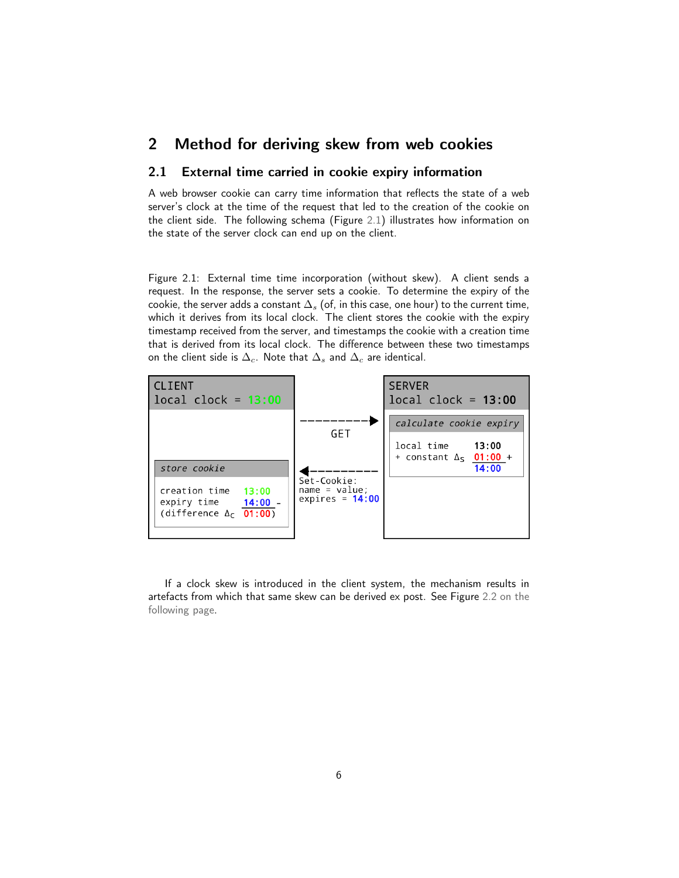# <span id="page-5-0"></span>2 Method for deriving skew from web cookies

# <span id="page-5-1"></span>2.1 External time carried in cookie expiry information

A web browser cookie can carry time information that reflects the state of a web server's clock at the time of the request that led to the creation of the cookie on the client side. The following schema (Figure [2.1\)](#page-5-2) illustrates how information on the state of the server clock can end up on the client.

<span id="page-5-2"></span>Figure 2.1: External time time incorporation (without skew). A client sends a request. In the response, the server sets a cookie. To determine the expiry of the cookie, the server adds a constant  $\Delta_s$  (of, in this case, one hour) to the current time, which it derives from its local clock. The client stores the cookie with the expiry timestamp received from the server, and timestamps the cookie with a creation time that is derived from its local clock. The difference between these two timestamps on the client side is  $\Delta_c$ . Note that  $\Delta_s$  and  $\Delta_c$  are identical.



If a clock skew is introduced in the client system, the mechanism results in artefacts from which that same skew can be derived ex post. See Figure [2.2 on the](#page-6-1) [following page.](#page-6-1)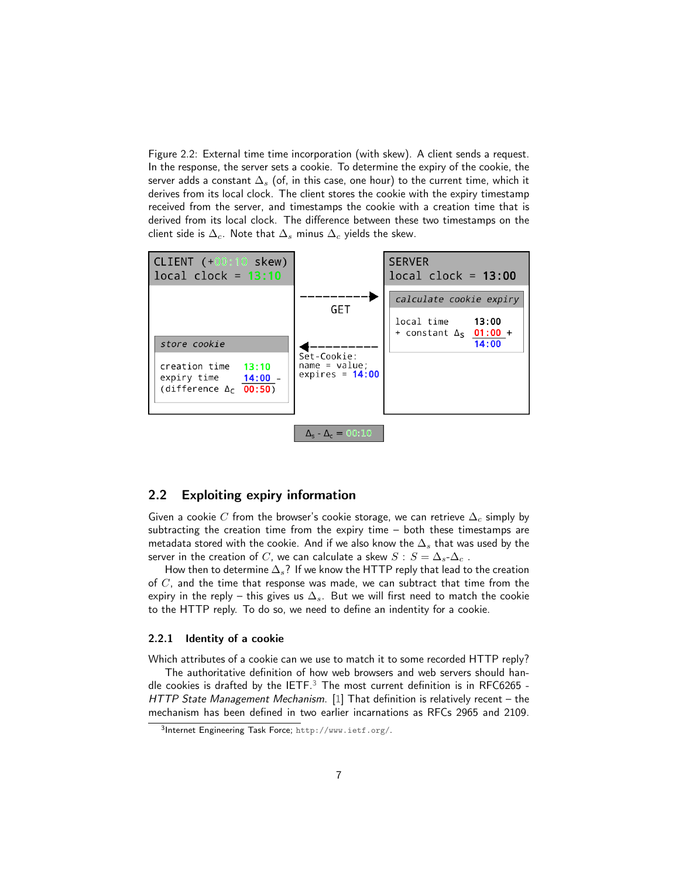<span id="page-6-1"></span>Figure 2.2: External time time incorporation (with skew). A client sends a request. In the response, the server sets a cookie. To determine the expiry of the cookie, the server adds a constant  $\Delta_s$  (of, in this case, one hour) to the current time, which it derives from its local clock. The client stores the cookie with the expiry timestamp received from the server, and timestamps the cookie with a creation time that is derived from its local clock. The difference between these two timestamps on the client side is  $\Delta_c$ . Note that  $\Delta_s$  minus  $\Delta_c$  yields the skew.



# <span id="page-6-0"></span>2.2 Exploiting expiry information

Given a cookie C from the browser's cookie storage, we can retrieve  $\Delta_c$  simply by subtracting the creation time from the expiry time – both these timestamps are metadata stored with the cookie. And if we also know the  $\Delta_s$  that was used by the server in the creation of C, we can calculate a skew  $S : S = \Delta_s - \Delta_c$ .

How then to determine  $\Delta_s$ ? If we know the HTTP reply that lead to the creation of  $C$ , and the time that response was made, we can subtract that time from the expiry in the reply – this gives us  $\Delta_s$ . But we will first need to match the cookie to the HTTP reply. To do so, we need to define an indentity for a cookie.

#### <span id="page-6-3"></span>2.2.1 Identity of a cookie

Which attributes of a cookie can we use to match it to some recorded HTTP reply?

The authoritative definition of how web browsers and web servers should handle cookies is drafted by the IETF. $3$  The most current definition is in RFC6265 -HTTP State Management Mechanism. [\[1\]](#page-31-3) That definition is relatively recent - the mechanism has been defined in two earlier incarnations as RFCs 2965 and 2109.

<span id="page-6-2"></span><sup>3</sup> Internet Engineering Task Force; <http://www.ietf.org/>.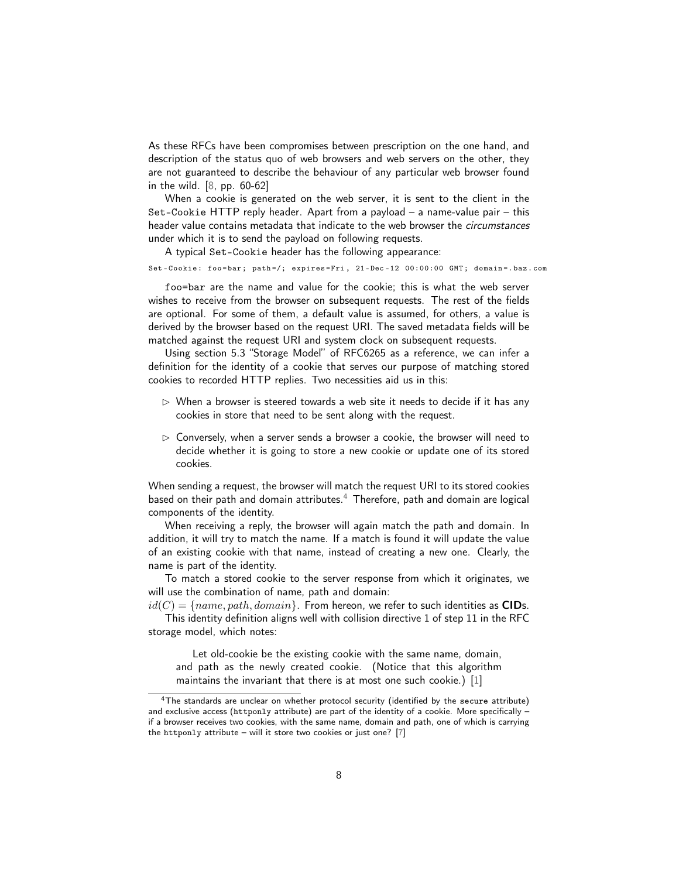As these RFCs have been compromises between prescription on the one hand, and description of the status quo of web browsers and web servers on the other, they are not guaranteed to describe the behaviour of any particular web browser found in the wild. [\[8,](#page-31-4) pp. 60-62]

When a cookie is generated on the web server, it is sent to the client in the Set-Cookie HTTP reply header. Apart from a payload – a name-value pair – this header value contains metadata that indicate to the web browser the *circumstances* under which it is to send the payload on following requests.

A typical Set-Cookie header has the following appearance:

<span id="page-7-1"></span>Set-Cookie: foo=bar; path=/; expires=Fri, 21-Dec-12 00:00:00 GMT; domain=.baz.com

foo=bar are the name and value for the cookie; this is what the web server wishes to receive from the browser on subsequent requests. The rest of the fields are optional. For some of them, a default value is assumed, for others, a value is derived by the browser based on the request URI. The saved metadata fields will be matched against the request URI and system clock on subsequent requests.

Using section 5.3 "Storage Model" of RFC6265 as a reference, we can infer a definition for the identity of a cookie that serves our purpose of matching stored cookies to recorded HTTP replies. Two necessities aid us in this:

- $\triangleright$  When a browser is steered towards a web site it needs to decide if it has any cookies in store that need to be sent along with the request.
- $\triangleright$  Conversely, when a server sends a browser a cookie, the browser will need to decide whether it is going to store a new cookie or update one of its stored cookies.

When sending a request, the browser will match the request URI to its stored cookies based on their path and domain attributes. $4$  Therefore, path and domain are logical components of the identity.

When receiving a reply, the browser will again match the path and domain. In addition, it will try to match the name. If a match is found it will update the value of an existing cookie with that name, instead of creating a new one. Clearly, the name is part of the identity.

To match a stored cookie to the server response from which it originates, we will use the combination of name, path and domain:

 $id(C) = \{name, path, domain\}$ . From hereon, we refer to such identities as CIDs. This identity definition aligns well with collision directive 1 of step 11 in the RFC

storage model, which notes:

Let old-cookie be the existing cookie with the same name, domain, and path as the newly created cookie. (Notice that this algorithm maintains the invariant that there is at most one such cookie.) [\[1\]](#page-31-3)

<span id="page-7-0"></span><sup>&</sup>lt;sup>4</sup>The standards are unclear on whether protocol security (identified by the secure attribute) and exclusive access (httponly attribute) are part of the identity of a cookie. More specifically if a browser receives two cookies, with the same name, domain and path, one of which is carrying the httponly attribute – will it store two cookies or just one? [\[7\]](#page-31-5)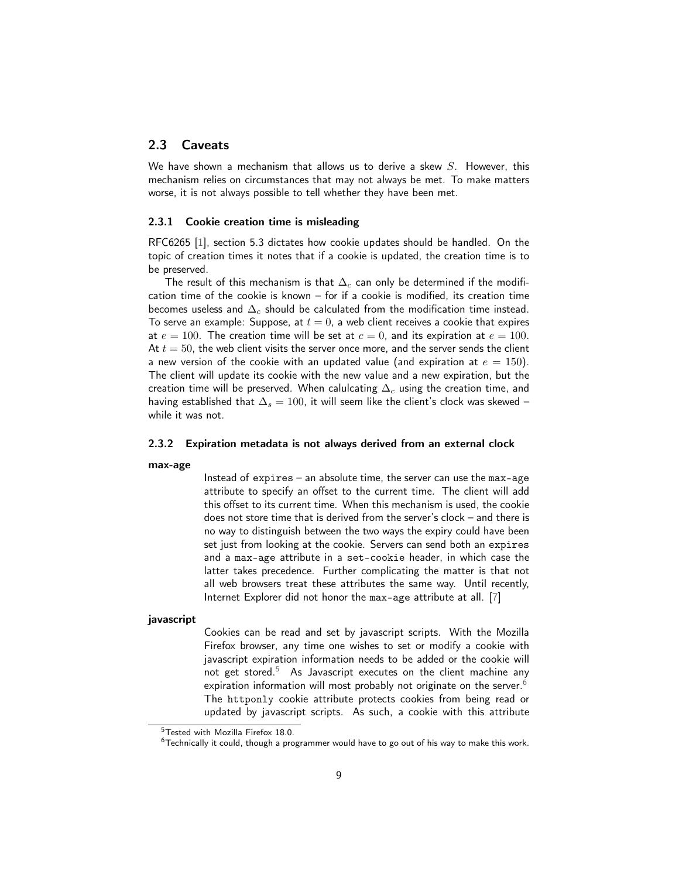# <span id="page-8-0"></span>2.3 Caveats

We have shown a mechanism that allows us to derive a skew  $S$ . However, this mechanism relies on circumstances that may not always be met. To make matters worse, it is not always possible to tell whether they have been met.

#### <span id="page-8-4"></span>2.3.1 Cookie creation time is misleading

RFC6265 [\[1\]](#page-31-3), section 5.3 dictates how cookie updates should be handled. On the topic of creation times it notes that if a cookie is updated, the creation time is to be preserved.

The result of this mechanism is that  $\Delta_c$  can only be determined if the modification time of the cookie is known – for if a cookie is modified, its creation time becomes useless and  $\Delta_c$  should be calculated from the modification time instead. To serve an example: Suppose, at  $t = 0$ , a web client receives a cookie that expires at  $e = 100$ . The creation time will be set at  $c = 0$ , and its expiration at  $e = 100$ . At  $t = 50$ , the web client visits the server once more, and the server sends the client a new version of the cookie with an updated value (and expiration at  $e = 150$ ). The client will update its cookie with the new value and a new expiration, but the creation time will be preserved. When calulcating  $\Delta_c$  using the creation time, and having established that  $\Delta_s = 100$ , it will seem like the client's clock was skewed – while it was not.

#### <span id="page-8-3"></span>2.3.2 Expiration metadata is not always derived from an external clock

#### max-age

Instead of expires – an absolute time, the server can use the max-age attribute to specify an offset to the current time. The client will add this offset to its current time. When this mechanism is used, the cookie does not store time that is derived from the server's clock – and there is no way to distinguish between the two ways the expiry could have been set just from looking at the cookie. Servers can send both an expires and a max-age attribute in a set-cookie header, in which case the latter takes precedence. Further complicating the matter is that not all web browsers treat these attributes the same way. Until recently, Internet Explorer did not honor the max-age attribute at all. [\[7\]](#page-31-5)

#### javascript

Cookies can be read and set by javascript scripts. With the Mozilla Firefox browser, any time one wishes to set or modify a cookie with javascript expiration information needs to be added or the cookie will not get stored.<sup>[5](#page-8-1)</sup> As Javascript executes on the client machine any expiration information will most probably not originate on the server.<sup>[6](#page-8-2)</sup> The httponly cookie attribute protects cookies from being read or updated by javascript scripts. As such, a cookie with this attribute

<span id="page-8-1"></span><sup>5</sup>Tested with Mozilla Firefox 18.0.

<span id="page-8-2"></span> $6$ Technically it could, though a programmer would have to go out of his way to make this work.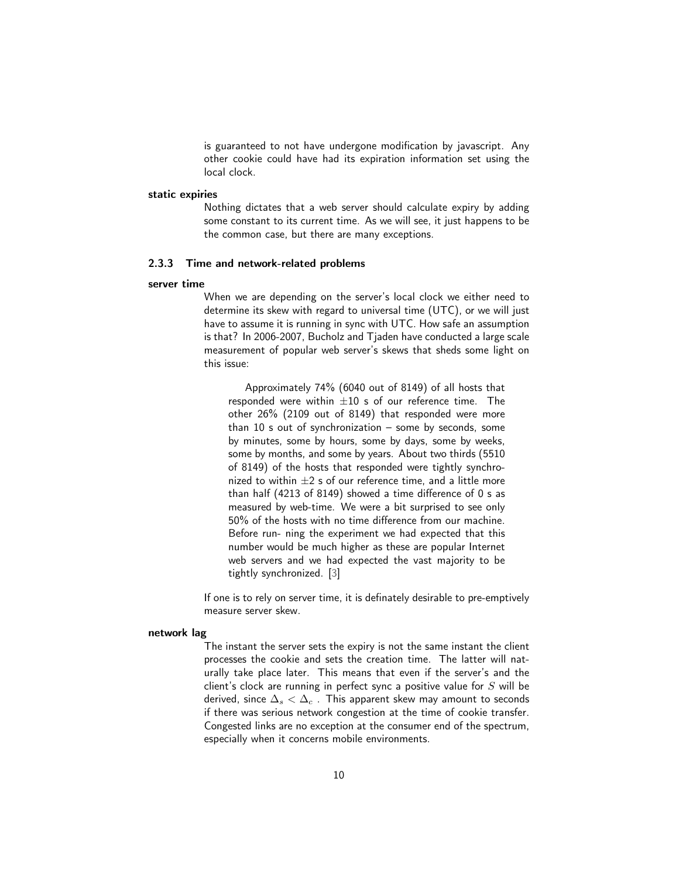is guaranteed to not have undergone modification by javascript. Any other cookie could have had its expiration information set using the local clock.

#### static expiries

Nothing dictates that a web server should calculate expiry by adding some constant to its current time. As we will see, it just happens to be the common case, but there are many exceptions.

#### <span id="page-9-0"></span>2.3.3 Time and network-related problems

#### server time

When we are depending on the server's local clock we either need to determine its skew with regard to universal time (UTC), or we will just have to assume it is running in sync with UTC. How safe an assumption is that? In 2006-2007, Bucholz and Tjaden have conducted a large scale measurement of popular web server's skews that sheds some light on this issue:

Approximately 74% (6040 out of 8149) of all hosts that responded were within  $\pm 10$  s of our reference time. The other 26% (2109 out of 8149) that responded were more than 10 s out of synchronization – some by seconds, some by minutes, some by hours, some by days, some by weeks, some by months, and some by years. About two thirds (5510 of 8149) of the hosts that responded were tightly synchronized to within  $\pm 2$  s of our reference time, and a little more than half (4213 of 8149) showed a time difference of 0 s as measured by web-time. We were a bit surprised to see only 50% of the hosts with no time difference from our machine. Before run- ning the experiment we had expected that this number would be much higher as these are popular Internet web servers and we had expected the vast majority to be tightly synchronized. [\[3\]](#page-31-6)

If one is to rely on server time, it is definately desirable to pre-emptively measure server skew.

# network lag

The instant the server sets the expiry is not the same instant the client processes the cookie and sets the creation time. The latter will naturally take place later. This means that even if the server's and the client's clock are running in perfect sync a positive value for  $S$  will be derived, since  $\Delta_s < \Delta_c$ . This apparent skew may amount to seconds if there was serious network congestion at the time of cookie transfer. Congested links are no exception at the consumer end of the spectrum, especially when it concerns mobile environments.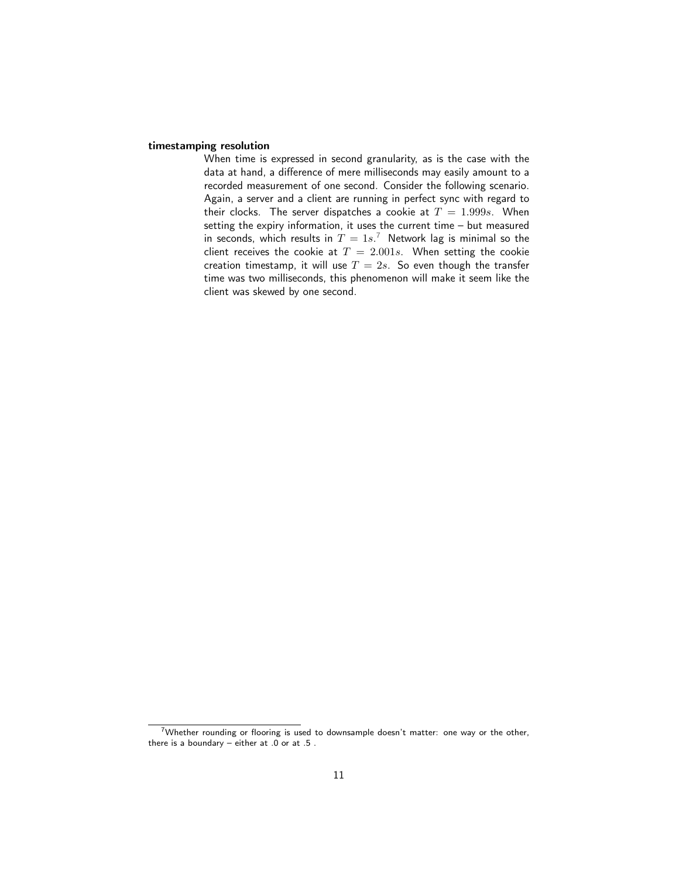#### timestamping resolution

When time is expressed in second granularity, as is the case with the data at hand, a difference of mere milliseconds may easily amount to a recorded measurement of one second. Consider the following scenario. Again, a server and a client are running in perfect sync with regard to their clocks. The server dispatches a cookie at  $T = 1.999s$ . When setting the expiry information, it uses the current time – but measured in seconds, which results in  $T = 1s^{7}$  $T = 1s^{7}$  $T = 1s^{7}$  Network lag is minimal so the client receives the cookie at  $T = 2.001s$ . When setting the cookie creation timestamp, it will use  $T = 2s$ . So even though the transfer time was two milliseconds, this phenomenon will make it seem like the client was skewed by one second.

<span id="page-10-0"></span><sup>&</sup>lt;sup>7</sup>Whether rounding or flooring is used to downsample doesn't matter: one way or the other, there is a boundary – either at .0 or at .5 .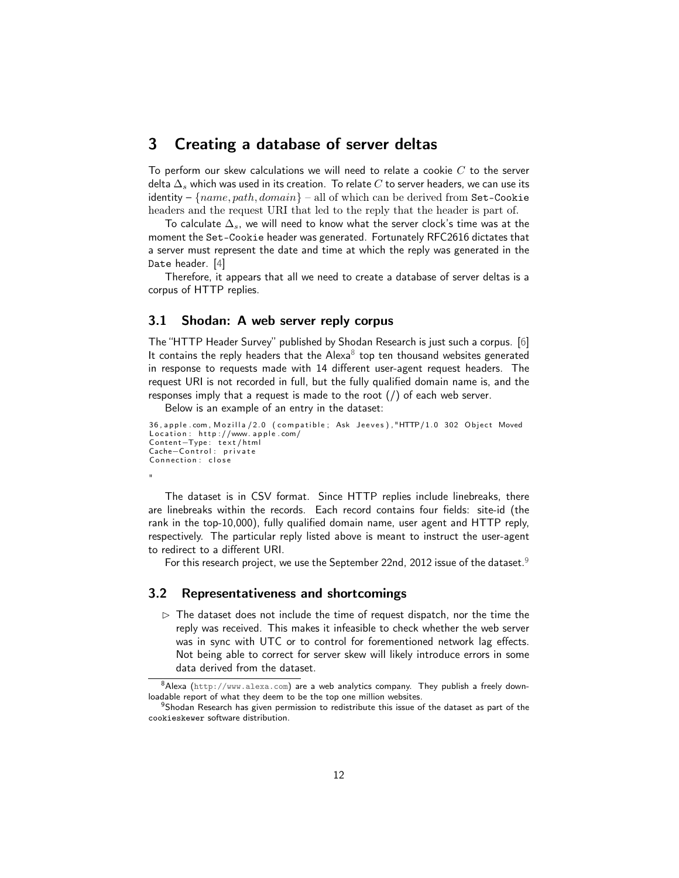# <span id="page-11-0"></span>3 Creating a database of server deltas

To perform our skew calculations we will need to relate a cookie  $C$  to the server delta  $\Delta_s$  which was used in its creation. To relate C to server headers, we can use its identity –  $\{name, path, domain\}$  – all of which can be derived from Set-Cookie headers and the request URI that led to the reply that the header is part of.

To calculate  $\Delta_s$ , we will need to know what the server clock's time was at the moment the Set-Cookie header was generated. Fortunately RFC2616 dictates that a server must represent the date and time at which the reply was generated in the Date header. [\[4\]](#page-31-7)

Therefore, it appears that all we need to create a database of server deltas is a corpus of HTTP replies.

### <span id="page-11-1"></span>3.1 Shodan: A web server reply corpus

The "HTTP Header Survey" published by Shodan Research is just such a corpus. [\[6\]](#page-31-8) It contains the reply headers that the Alexa<sup>[8](#page-11-3)</sup> top ten thousand websites generated in response to requests made with 14 different user-agent request headers. The request URI is not recorded in full, but the fully qualified domain name is, and the responses imply that a request is made to the root (/) of each web server.

Below is an example of an entry in the dataset:

```
36, apple . com, Mozilla / 2.0 (compatible; Ask Jeeves), "HTTP/1.0 302 Object Moved
Location: http://www. apple.com/Con ten t−Type : t e x t / h tml
Cache-Control: private
Connection: close
"
```
The dataset is in CSV format. Since HTTP replies include linebreaks, there are linebreaks within the records. Each record contains four fields: site-id (the rank in the top-10,000), fully qualified domain name, user agent and HTTP reply, respectively. The particular reply listed above is meant to instruct the user-agent to redirect to a different URI.

For this research project, we use the September 22nd, 2012 issue of the dataset.<sup>[9](#page-11-4)</sup>

#### <span id="page-11-2"></span>3.2 Representativeness and shortcomings

 $\triangleright$  The dataset does not include the time of request dispatch, nor the time the reply was received. This makes it infeasible to check whether the web server was in sync with UTC or to control for forementioned network lag effects. Not being able to correct for server skew will likely introduce errors in some data derived from the dataset.

<span id="page-11-3"></span> $8$ Alexa (<http://www.alexa.com>) are a web analytics company. They publish a freely downloadable report of what they deem to be the top one million websites.

<span id="page-11-4"></span> $9$ Shodan Research has given permission to redistribute this issue of the dataset as part of the cookieskewer software distribution.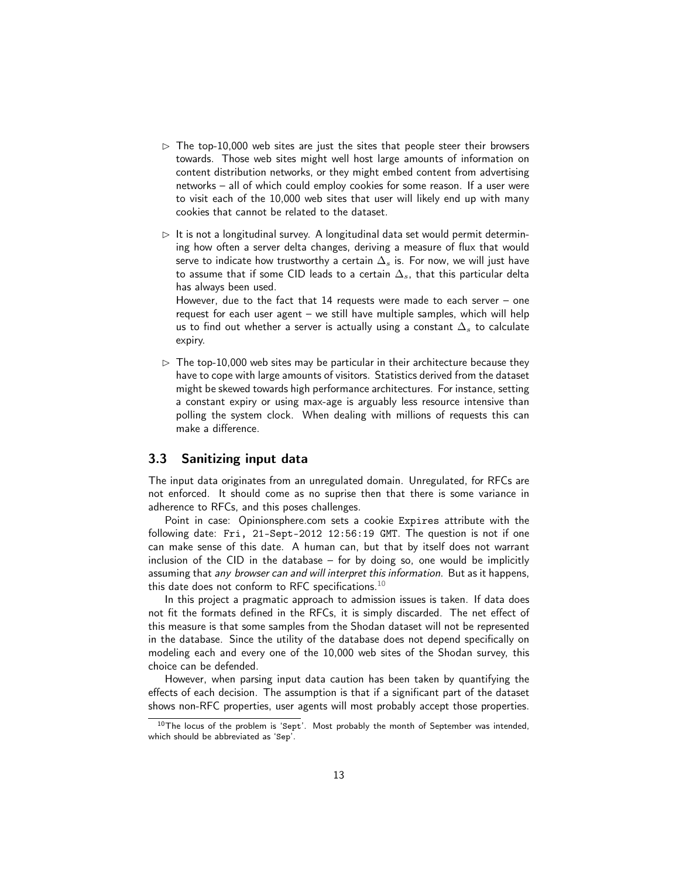- $\triangleright$  The top-10,000 web sites are just the sites that people steer their browsers towards. Those web sites might well host large amounts of information on content distribution networks, or they might embed content from advertising networks – all of which could employ cookies for some reason. If a user were to visit each of the 10,000 web sites that user will likely end up with many cookies that cannot be related to the dataset.
- $\triangleright$  It is not a longitudinal survey. A longitudinal data set would permit determining how often a server delta changes, deriving a measure of flux that would serve to indicate how trustworthy a certain  $\Delta_s$  is. For now, we will just have to assume that if some CID leads to a certain  $\Delta_s$ , that this particular delta has always been used.

However, due to the fact that 14 requests were made to each server – one request for each user agent – we still have multiple samples, which will help us to find out whether a server is actually using a constant  $\Delta_s$  to calculate expiry.

 $>$  The top-10,000 web sites may be particular in their architecture because they have to cope with large amounts of visitors. Statistics derived from the dataset might be skewed towards high performance architectures. For instance, setting a constant expiry or using max-age is arguably less resource intensive than polling the system clock. When dealing with millions of requests this can make a difference.

### <span id="page-12-0"></span>3.3 Sanitizing input data

The input data originates from an unregulated domain. Unregulated, for RFCs are not enforced. It should come as no suprise then that there is some variance in adherence to RFCs, and this poses challenges.

Point in case: Opinionsphere.com sets a cookie Expires attribute with the following date: Fri, 21-Sept-2012 12:56:19 GMT. The question is not if one can make sense of this date. A human can, but that by itself does not warrant inclusion of the CID in the database – for by doing so, one would be implicitly assuming that *any browser can and will interpret this information*. But as it happens, this date does not conform to RFC specifications.<sup>[10](#page-12-1)</sup>

In this project a pragmatic approach to admission issues is taken. If data does not fit the formats defined in the RFCs, it is simply discarded. The net effect of this measure is that some samples from the Shodan dataset will not be represented in the database. Since the utility of the database does not depend specifically on modeling each and every one of the 10,000 web sites of the Shodan survey, this choice can be defended.

However, when parsing input data caution has been taken by quantifying the effects of each decision. The assumption is that if a significant part of the dataset shows non-RFC properties, user agents will most probably accept those properties.

<span id="page-12-1"></span> $10$ The locus of the problem is 'Sept'. Most probably the month of September was intended, which should be abbreviated as 'Sep'.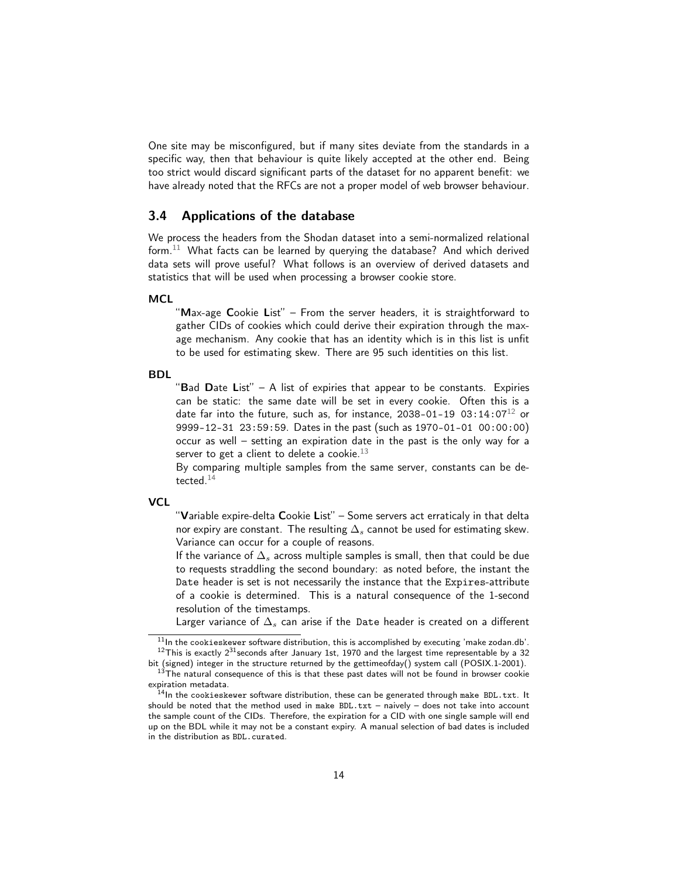One site may be misconfigured, but if many sites deviate from the standards in a specific way, then that behaviour is quite likely accepted at the other end. Being too strict would discard significant parts of the dataset for no apparent benefit: we have already noted that the RFCs are not a proper model of web browser behaviour.

### <span id="page-13-0"></span>3.4 Applications of the database

We process the headers from the Shodan dataset into a semi-normalized relational form. $^{11}$  $^{11}$  $^{11}$  What facts can be learned by querying the database? And which derived data sets will prove useful? What follows is an overview of derived datasets and statistics that will be used when processing a browser cookie store.

#### **MCL**

"Max-age Cookie List" – From the server headers, it is straightforward to gather CIDs of cookies which could derive their expiration through the maxage mechanism. Any cookie that has an identity which is in this list is unfit to be used for estimating skew. There are 95 such identities on this list.

#### BDL

"Bad Date List"  $-$  A list of expiries that appear to be constants. Expiries can be static: the same date will be set in every cookie. Often this is a date far into the future, such as, for instance, 2038-01-19 03:14:07<sup>[12](#page-13-2)</sup> or 9999-12-31 23:59:59. Dates in the past (such as 1970-01-01 00:00:00) occur as well – setting an expiration date in the past is the only way for a server to get a client to delete a cookie. $^{13}$  $^{13}$  $^{13}$ 

By comparing multiple samples from the same server, constants can be de-tected.<sup>[14](#page-13-4)</sup>

#### **VCL**

"Variable expire-delta Cookie List" - Some servers act erraticaly in that delta nor expiry are constant. The resulting  $\Delta_s$  cannot be used for estimating skew. Variance can occur for a couple of reasons.

If the variance of  $\Delta_s$  across multiple samples is small, then that could be due to requests straddling the second boundary: as noted before, the instant the Date header is set is not necessarily the instance that the Expires-attribute of a cookie is determined. This is a natural consequence of the 1-second resolution of the timestamps.

Larger variance of  $\Delta_s$  can arise if the Date header is created on a different

<span id="page-13-2"></span><span id="page-13-1"></span> $11$ In the cookieskewer software distribution, this is accomplished by executing 'make zodan.db'.  $12$ This is exactly  $2^{31}$ seconds after January 1st, 1970 and the largest time representable by a 32 bit (signed) integer in the structure returned by the gettimeofday() system call (POSIX.1-2001).

<span id="page-13-3"></span> $13$ The natural consequence of this is that these past dates will not be found in browser cookie expiration metadata.

<span id="page-13-4"></span> $14$ In the cookieskewer software distribution, these can be generated through make BDL.txt. It should be noted that the method used in make BDL.txt – naively – does not take into account the sample count of the CIDs. Therefore, the expiration for a CID with one single sample will end up on the BDL while it may not be a constant expiry. A manual selection of bad dates is included in the distribution as BDL.curated.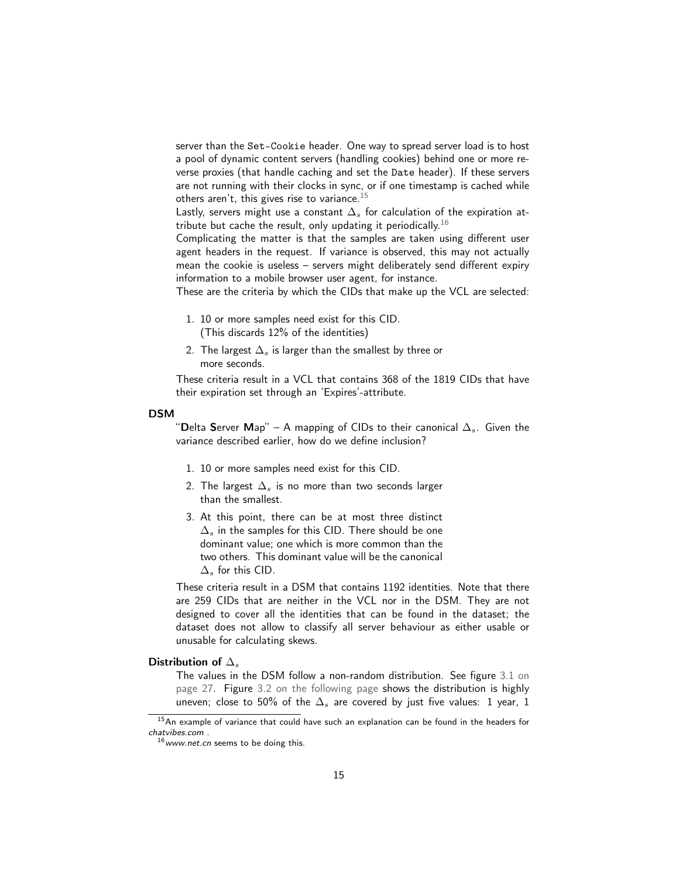server than the Set-Cookie header. One way to spread server load is to host a pool of dynamic content servers (handling cookies) behind one or more reverse proxies (that handle caching and set the Date header). If these servers are not running with their clocks in sync, or if one timestamp is cached while others aren't, this gives rise to variance. $^{15}$  $^{15}$  $^{15}$ 

Lastly, servers might use a constant  $\Delta_s$  for calculation of the expiration at-tribute but cache the result, only updating it periodically.<sup>[16](#page-14-1)</sup>

Complicating the matter is that the samples are taken using different user agent headers in the request. If variance is observed, this may not actually mean the cookie is useless – servers might deliberately send different expiry information to a mobile browser user agent, for instance.

These are the criteria by which the CIDs that make up the VCL are selected:

- 1. 10 or more samples need exist for this CID. (This discards 12% of the identities)
- 2. The largest  $\Delta_s$  is larger than the smallest by three or more seconds.

These criteria result in a VCL that contains 368 of the 1819 CIDs that have their expiration set through an 'Expires'-attribute.

#### DSM

"Delta Server Map" – A mapping of CIDs to their canonical  $\Delta_s$ . Given the variance described earlier, how do we define inclusion?

- 1. 10 or more samples need exist for this CID.
- 2. The largest  $\Delta_s$  is no more than two seconds larger than the smallest.
- 3. At this point, there can be at most three distinct  $\Delta_s$  in the samples for this CID. There should be one dominant value; one which is more common than the two others. This dominant value will be the canonical  $\Delta_s$  for this CID.

These criteria result in a DSM that contains 1192 identities. Note that there are 259 CIDs that are neither in the VCL nor in the DSM. They are not designed to cover all the identities that can be found in the dataset; the dataset does not allow to classify all server behaviour as either usable or unusable for calculating skews.

#### Distribution of  $\Delta_s$

The values in the DSM follow a non-random distribution. See figure [3.1 on](#page-26-0) [page 27.](#page-26-0) Figure [3.2 on the following page](#page-15-0) shows the distribution is highly uneven; close to 50% of the  $\Delta_s$  are covered by just five values: 1 year, 1

<span id="page-14-0"></span><sup>&</sup>lt;sup>15</sup> An example of variance that could have such an explanation can be found in the headers for chatvibes.com .

<span id="page-14-1"></span> $16$  www.net.cn seems to be doing this.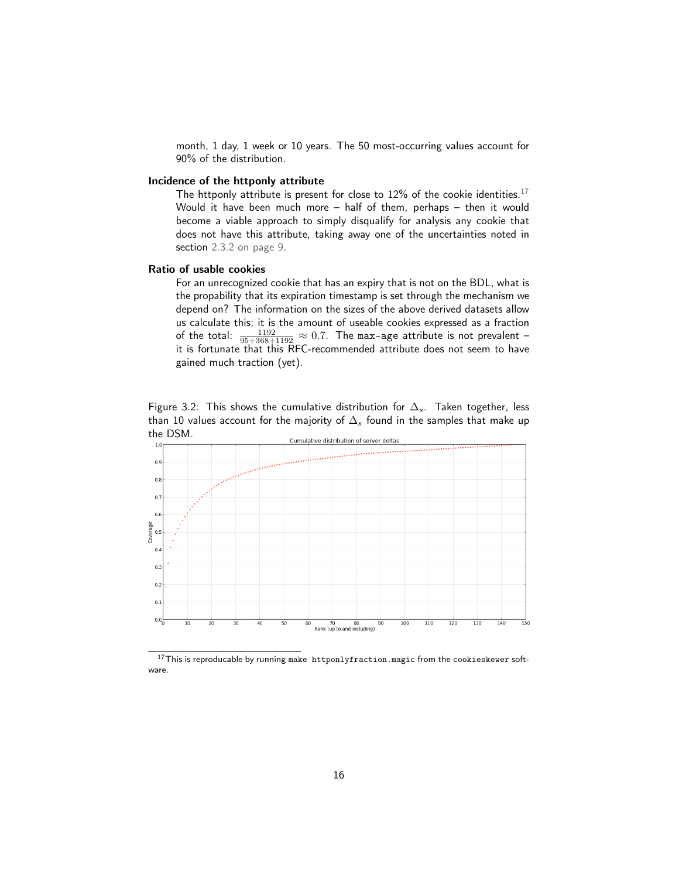month, 1 day, 1 week or 10 years. The 50 most-occurring values account for 90% of the distribution.

#### Incidence of the httponly attribute

The httponly attribute is present for close to 12% of the cookie identities.<sup>[17](#page-15-1)</sup> Would it have been much more – half of them, perhaps – then it would become a viable approach to simply disqualify for analysis any cookie that does not have this attribute, taking away one of the uncertainties noted in section [2.3.2 on page 9.](#page-8-3)

#### Ratio of usable cookies

For an unrecognized cookie that has an expiry that is not on the BDL, what is the propability that its expiration timestamp is set through the mechanism we depend on? The information on the sizes of the above derived datasets allow us calculate this; it is the amount of useable cookies expressed as a fraction of the total:  $\frac{1192}{95+368+1192} \approx 0.7$ . The max-age attribute is not prevalent – it is fortunate that this RFC-recommended attribute does not seem to have gained much traction (yet).

<span id="page-15-0"></span>Figure 3.2: This shows the cumulative distribution for  $\Delta_s$ . Taken together, less than 10 values account for the majority of  $\Delta_s$  found in the samples that make up the DSM.



<span id="page-15-1"></span> $17$ This is reproducable by running make httponlyfraction. magic from the cookieskewer software.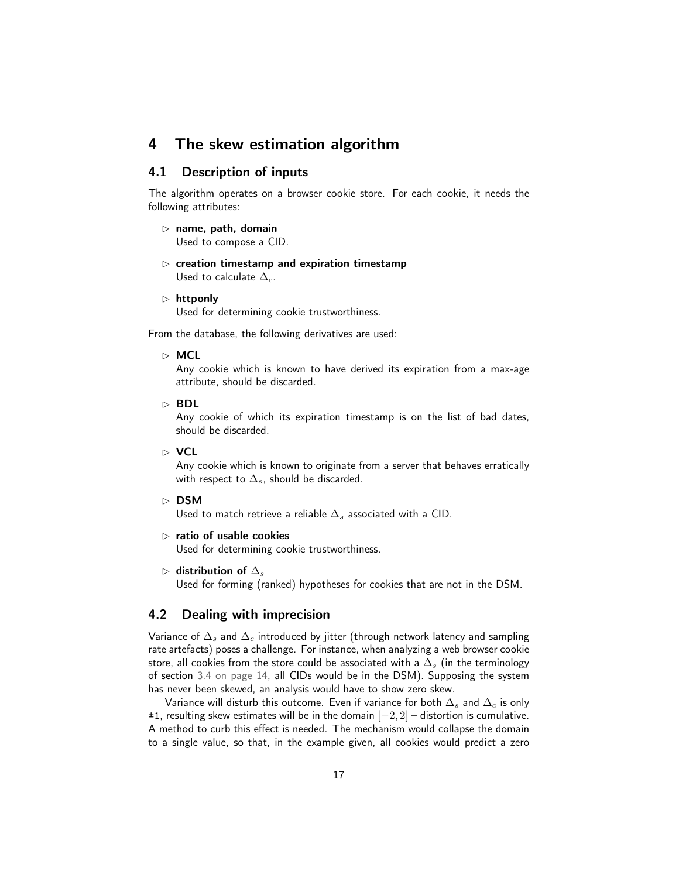# <span id="page-16-0"></span>4 The skew estimation algorithm

# <span id="page-16-1"></span>4.1 Description of inputs

The algorithm operates on a browser cookie store. For each cookie, it needs the following attributes:

- $\triangleright$  name, path, domain Used to compose a CID.
- $\triangleright$  creation timestamp and expiration timestamp Used to calculate  $\Delta_c$ .
- $\triangleright$  httponly

Used for determining cookie trustworthiness.

From the database, the following derivatives are used:

#### $\triangleright$  MCL

Any cookie which is known to have derived its expiration from a max-age attribute, should be discarded.

 $\triangleright$  BDL

Any cookie of which its expiration timestamp is on the list of bad dates, should be discarded.

✄ VCL

Any cookie which is known to originate from a server that behaves erratically with respect to  $\Delta_s$ , should be discarded.

#### $\triangleright$  DSM

Used to match retrieve a reliable  $\Delta_s$  associated with a CID.

 $\triangleright$  ratio of usable cookies

Used for determining cookie trustworthiness.

 $\triangleright$  distribution of  $\Delta_s$ 

Used for forming (ranked) hypotheses for cookies that are not in the DSM.

# <span id="page-16-2"></span>4.2 Dealing with imprecision

Variance of  $\Delta_s$  and  $\Delta_c$  introduced by jitter (through network latency and sampling rate artefacts) poses a challenge. For instance, when analyzing a web browser cookie store, all cookies from the store could be associated with a  $\Delta_s$  (in the terminology of section [3.4 on page 14,](#page-13-0) all CIDs would be in the DSM). Supposing the system has never been skewed, an analysis would have to show zero skew.

Variance will disturb this outcome. Even if variance for both  $\Delta_s$  and  $\Delta_c$  is only  $±1$ , resulting skew estimates will be in the domain  $[-2, 2]$  – distortion is cumulative. A method to curb this effect is needed. The mechanism would collapse the domain to a single value, so that, in the example given, all cookies would predict a zero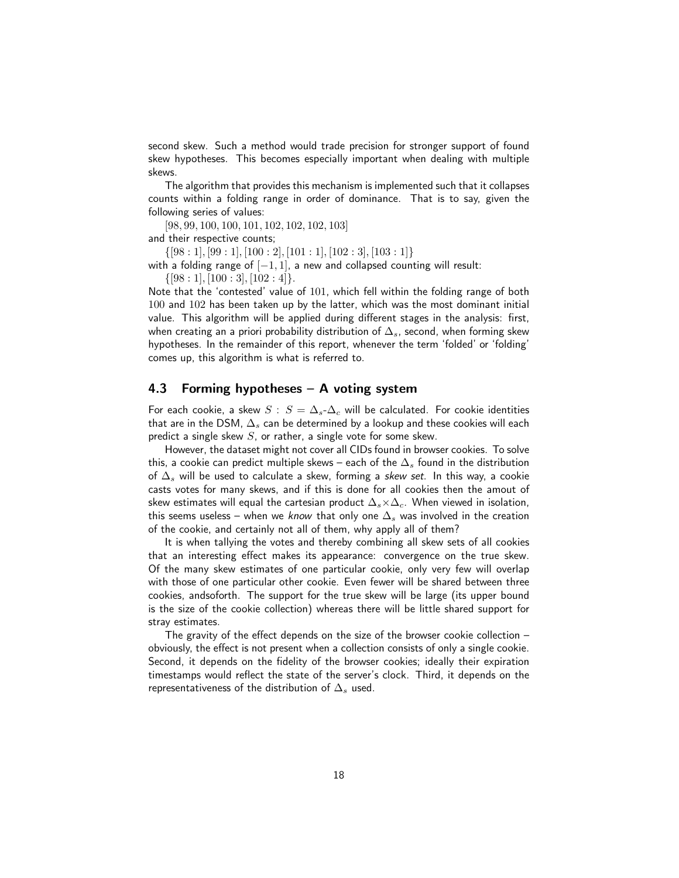second skew. Such a method would trade precision for stronger support of found skew hypotheses. This becomes especially important when dealing with multiple skews.

The algorithm that provides this mechanism is implemented such that it collapses counts within a folding range in order of dominance. That is to say, given the following series of values:

[98, 99, 100, 100, 101, 102, 102, 102, 103] and their respective counts;

 $\{[98:1], [99:1], [100:2], [101:1], [102:3], [103:1]\}$ 

with a folding range of  $[-1, 1]$ , a new and collapsed counting will result:

 $\{[98:1], [100:3], [102:4]\}.$ 

Note that the 'contested' value of 101, which fell within the folding range of both 100 and 102 has been taken up by the latter, which was the most dominant initial value. This algorithm will be applied during different stages in the analysis: first, when creating an a priori probability distribution of  $\Delta_s$ , second, when forming skew hypotheses. In the remainder of this report, whenever the term 'folded' or 'folding' comes up, this algorithm is what is referred to.

### <span id="page-17-0"></span>4.3 Forming hypotheses – A voting system

For each cookie, a skew  $S : S = \Delta_s - \Delta_c$  will be calculated. For cookie identities that are in the DSM,  $\Delta_s$  can be determined by a lookup and these cookies will each predict a single skew  $S$ , or rather, a single vote for some skew.

However, the dataset might not cover all CIDs found in browser cookies. To solve this, a cookie can predict multiple skews – each of the  $\Delta_s$  found in the distribution of  $\Delta_s$  will be used to calculate a skew, forming a skew set. In this way, a cookie casts votes for many skews, and if this is done for all cookies then the amout of skew estimates will equal the cartesian product  $\Delta_s \times \Delta_c$ . When viewed in isolation, this seems useless – when we know that only one  $\Delta_s$  was involved in the creation of the cookie, and certainly not all of them, why apply all of them?

It is when tallying the votes and thereby combining all skew sets of all cookies that an interesting effect makes its appearance: convergence on the true skew. Of the many skew estimates of one particular cookie, only very few will overlap with those of one particular other cookie. Even fewer will be shared between three cookies, andsoforth. The support for the true skew will be large (its upper bound is the size of the cookie collection) whereas there will be little shared support for stray estimates.

The gravity of the effect depends on the size of the browser cookie collection – obviously, the effect is not present when a collection consists of only a single cookie. Second, it depends on the fidelity of the browser cookies; ideally their expiration timestamps would reflect the state of the server's clock. Third, it depends on the representativeness of the distribution of  $\Delta_s$  used.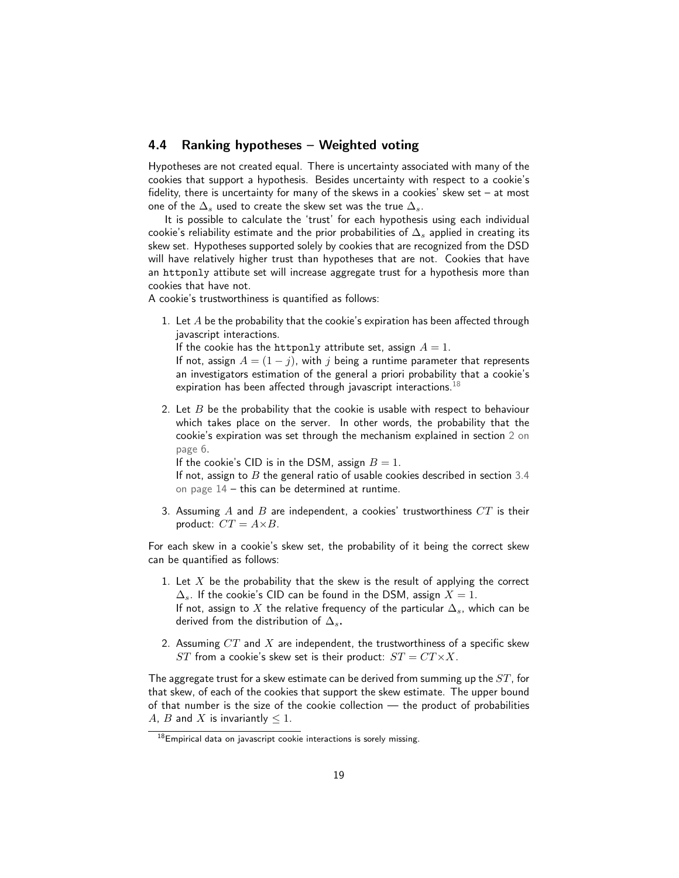# <span id="page-18-0"></span>4.4 Ranking hypotheses – Weighted voting

Hypotheses are not created equal. There is uncertainty associated with many of the cookies that support a hypothesis. Besides uncertainty with respect to a cookie's fidelity, there is uncertainty for many of the skews in a cookies' skew set – at most one of the  $\Delta_s$  used to create the skew set was the true  $\Delta_s$ .

It is possible to calculate the 'trust' for each hypothesis using each individual cookie's reliability estimate and the prior probabilities of  $\Delta_s$  applied in creating its skew set. Hypotheses supported solely by cookies that are recognized from the DSD will have relatively higher trust than hypotheses that are not. Cookies that have an httponly attibute set will increase aggregate trust for a hypothesis more than cookies that have not.

A cookie's trustworthiness is quantified as follows:

1. Let  $A$  be the probability that the cookie's expiration has been affected through javascript interactions.

If the cookie has the httponly attribute set, assign  $A = 1$ .

If not, assign  $A = (1 - j)$ , with j being a runtime parameter that represents an investigators estimation of the general a priori probability that a cookie's expiration has been affected through javascript interactions.<sup>[18](#page-18-1)</sup>

2. Let  $B$  be the probability that the cookie is usable with respect to behaviour which takes place on the server. In other words, the probability that the cookie's expiration was set through the mechanism explained in section [2 on](#page-5-0) [page 6.](#page-5-0)

If the cookie's CID is in the DSM, assign  $B = 1$ .

If not, assign to  $B$  the general ratio of usable cookies described in section [3.4](#page-13-0) [on page 14](#page-13-0) – this can be determined at runtime.

3. Assuming  $A$  and  $B$  are independent, a cookies' trustworthiness  $CT$  is their product:  $CT = A \times B$ .

For each skew in a cookie's skew set, the probability of it being the correct skew can be quantified as follows:

- 1. Let  $X$  be the probability that the skew is the result of applying the correct  $\Delta_s$ . If the cookie's CID can be found in the DSM, assign  $X = 1$ . If not, assign to X the relative frequency of the particular  $\Delta_s$ , which can be derived from the distribution of  $\Delta_s$ .
- 2. Assuming  $CT$  and  $X$  are independent, the trustworthiness of a specific skew ST from a cookie's skew set is their product:  $ST = CT \times X$ .

The aggregate trust for a skew estimate can be derived from summing up the  $ST$ , for that skew, of each of the cookies that support the skew estimate. The upper bound of that number is the size of the cookie collection — the product of probabilities A, B and X is invariantly  $\leq 1$ .

<span id="page-18-1"></span> $18$  Empirical data on javascript cookie interactions is sorely missing.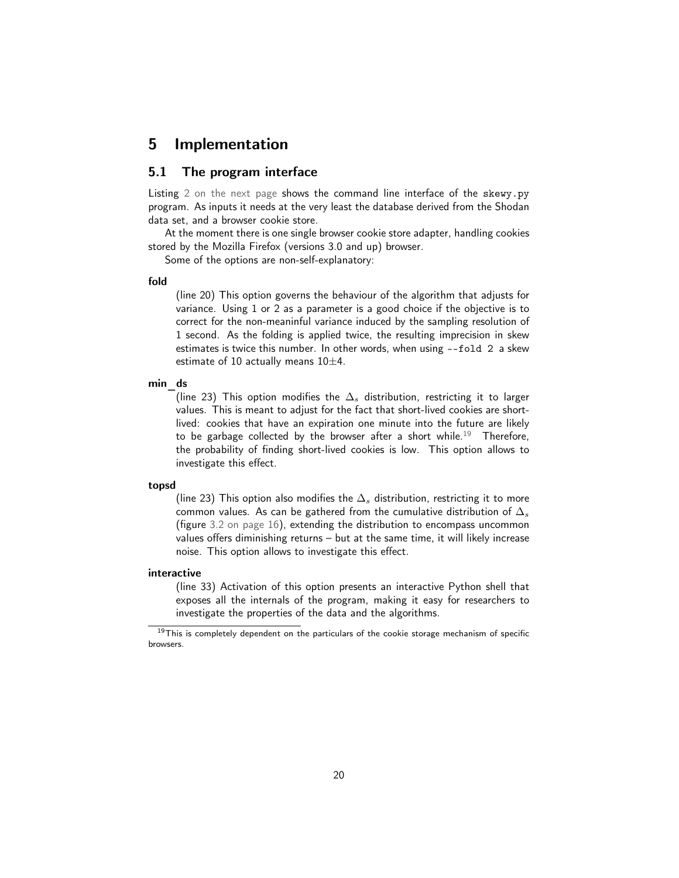# <span id="page-19-0"></span>5 Implementation

### <span id="page-19-1"></span>5.1 The program interface

Listing [2 on the next page](#page-20-1) shows the command line interface of the skewy.py program. As inputs it needs at the very least the database derived from the Shodan data set, and a browser cookie store.

At the moment there is one single browser cookie store adapter, handling cookies stored by the Mozilla Firefox (versions 3.0 and up) browser.

Some of the options are non-self-explanatory:

#### fold

(line 20) This option governs the behaviour of the algorithm that adjusts for variance. Using 1 or 2 as a parameter is a good choice if the objective is to correct for the non-meaninful variance induced by the sampling resolution of 1 second. As the folding is applied twice, the resulting imprecision in skew estimates is twice this number. In other words, when using --fold 2 a skew estimate of 10 actually means  $10\pm4$ .

#### min ds

(line 23) This option modifies the  $\Delta_s$  distribution, restricting it to larger values. This is meant to adjust for the fact that short-lived cookies are shortlived: cookies that have an expiration one minute into the future are likely to be garbage collected by the browser after a short while.<sup>[19](#page-19-2)</sup> Therefore, the probability of finding short-lived cookies is low. This option allows to investigate this effect.

#### topsd

(line 23) This option also modifies the  $\Delta_s$  distribution, restricting it to more common values. As can be gathered from the cumulative distribution of  $\Delta_s$ (figure [3.2 on page 16\)](#page-15-0), extending the distribution to encompass uncommon values offers diminishing returns – but at the same time, it will likely increase noise. This option allows to investigate this effect.

#### interactive

(line 33) Activation of this option presents an interactive Python shell that exposes all the internals of the program, making it easy for researchers to investigate the properties of the data and the algorithms.

<span id="page-19-2"></span> $19$ This is completely dependent on the particulars of the cookie storage mechanism of specific browsers.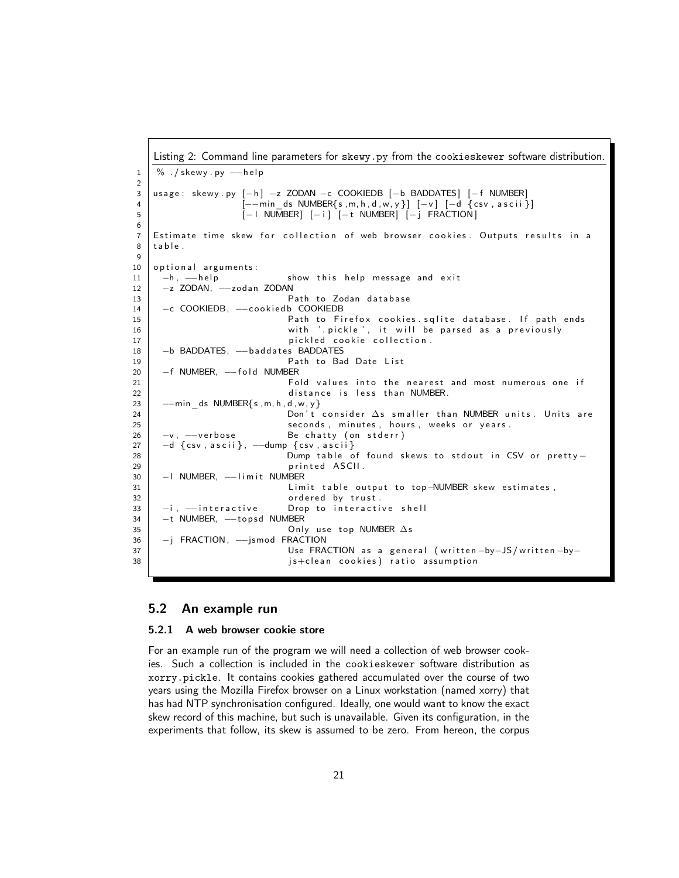```
Listing 2: Command line parameters for skewy.py from the cookieskewer software distribution.
1 \mid \% \cdot / skewy . py --help
2
3 usage: skewy.py [−h] −z ZODAN −c COOKIEDB [−b BADDATES] [−f NUMBER]
4 [−−min_ds NUMBER{ s ,m, h , d , w, y } ] [−v ] [−d { c sv , a s c i i } ]
5 | internal [− i NUMBER] [− i ] [− t NUMBER] [− j FRACTION]
6
7 Estimate time skew for collection of web browser cookies. Outputs results in a
8 table.
9
10 optional arguments:
11 -h, -help show this help message and exit
12 | −z ZODAN, --zodan ZODAN
13 | Path to Zodan database
14 | −c COOKIEDB, --cookiedb COOKIEDB
15 Path to Firefox cookies sqlite database. If path ends
16 with '.pickle', it will be parsed as a previously
17 | pickled cookie collection.
18 | −b BADDATES, --baddates BADDATES
19 | Path to Bad Date List
20 F NUMBER, --fold NUMBER
21 Fold values into the nearest and most numerous one if
22 | distance is less than NUMBER.
23 \vert --min ds NUMBER{ s , m, h , d , w, y }
24 Don ' t c o n s i d e r ∆s s m a l l e r t h a n NUMBER u n i t s . U n i t s a r e
25 Seconds, minutes, hours, weeks or years.
26 | −v, −−verbose Be chatty (on stderr)
27 -d { csv, ascii }, --dump { csv, ascii }
28 Dump table of found skews to stdout in CSV or pretty −
29 | printed ASCII.
30 | − | NUMBER, −−limit NUMBER
31 | Limit table output to top-NUMBER skew estimates,
32 ordered by trust.
33 -i, -interactive Drop to interactive shell
34 | −t NUMBER, --topsd NUMBER
35 \vert Only use top NUMBER \Deltas
36 | −j FRACTION, --jsmod FRACTION
37 | Use FRACTION as a general (written −by−JS/written −by−
38 | istclean cookies) ratio assumption
```
#### <span id="page-20-0"></span>5.2 An example run

#### 5.2.1 A web browser cookie store

For an example run of the program we will need a collection of web browser cookies. Such a collection is included in the cookieskewer software distribution as xorry.pickle. It contains cookies gathered accumulated over the course of two years using the Mozilla Firefox browser on a Linux workstation (named xorry) that has had NTP synchronisation configured. Ideally, one would want to know the exact skew record of this machine, but such is unavailable. Given its configuration, in the experiments that follow, its skew is assumed to be zero. From hereon, the corpus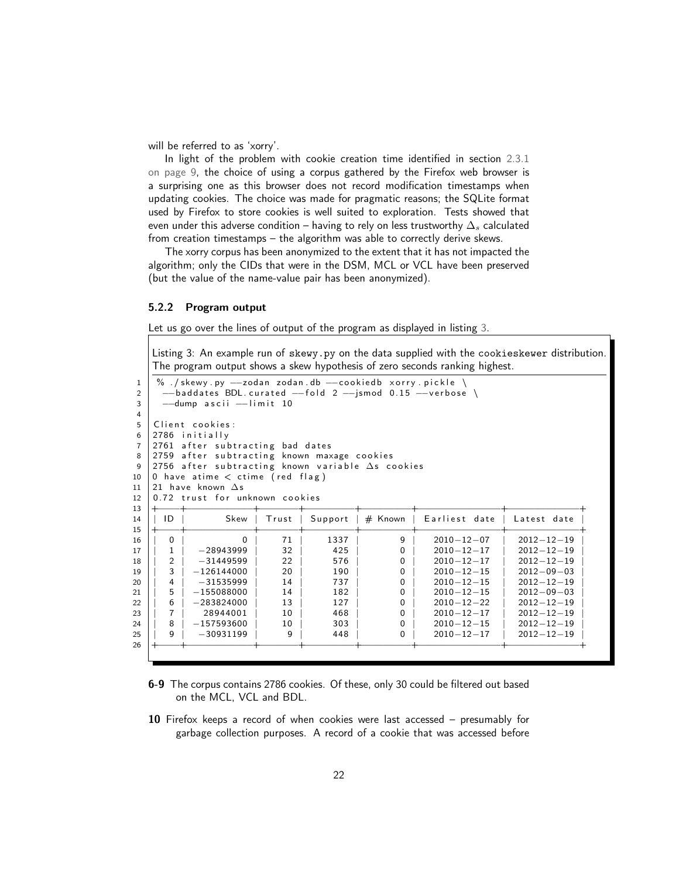will be referred to as 'xorry'.

In light of the problem with cookie creation time identified in section [2.3.1](#page-8-4) [on page 9,](#page-8-4) the choice of using a corpus gathered by the Firefox web browser is a surprising one as this browser does not record modification timestamps when updating cookies. The choice was made for pragmatic reasons; the SQLite format used by Firefox to store cookies is well suited to exploration. Tests showed that even under this adverse condition – having to rely on less trustworthy  $\Delta_s$  calculated from creation timestamps – the algorithm was able to correctly derive skews.

The xorry corpus has been anonymized to the extent that it has not impacted the algorithm; only the CIDs that were in the DSM, MCL or VCL have been preserved (but the value of the name-value pair has been anonymized).

#### 5.2.2 Program output

Let us go over the lines of output of the program as displayed in listing [3.](#page-21-0)

<span id="page-21-0"></span>Listing 3: An example run of skewy.py on the data supplied with the cookieskewer distribution. The program output shows a skew hypothesis of zero seconds ranking highest.

| 1                                                              | $\%$ /skewy.py --zodan zodan.db --cookiedb xorry.pickle \        |                             |         |            |           |                                      |                                      |  |  |  |
|----------------------------------------------------------------|------------------------------------------------------------------|-----------------------------|---------|------------|-----------|--------------------------------------|--------------------------------------|--|--|--|
| 2                                                              | $-$ baddates BDL.curated $-$ fold 2 $-$ jsmod 0.15 $-$ verbose \ |                             |         |            |           |                                      |                                      |  |  |  |
| 3                                                              | --dump ascii --limit 10                                          |                             |         |            |           |                                      |                                      |  |  |  |
| 4                                                              |                                                                  |                             |         |            |           |                                      |                                      |  |  |  |
| 5                                                              | Client cookies:                                                  |                             |         |            |           |                                      |                                      |  |  |  |
| 6                                                              | 2786 initially                                                   |                             |         |            |           |                                      |                                      |  |  |  |
| $\overline{7}$                                                 | 2761 after subtracting bad dates                                 |                             |         |            |           |                                      |                                      |  |  |  |
| 8                                                              | 2759 after subtracting known maxage cookies                      |                             |         |            |           |                                      |                                      |  |  |  |
| 9                                                              | 2756 after subtracting known variable $\Delta s$ cookies         |                             |         |            |           |                                      |                                      |  |  |  |
| 10                                                             | 0 have atime $\lt$ ctime (red flag)                              |                             |         |            |           |                                      |                                      |  |  |  |
| 11                                                             | 21 have known $\Delta s$                                         |                             |         |            |           |                                      |                                      |  |  |  |
| 12                                                             | 0.72 trust for unknown cookies                                   |                             |         |            |           |                                      |                                      |  |  |  |
|                                                                |                                                                  |                             |         |            |           |                                      |                                      |  |  |  |
|                                                                |                                                                  |                             |         |            |           |                                      |                                      |  |  |  |
|                                                                | ID                                                               | Skew                        | Trust   | Support    | $#$ Known | Earliest date                        | Latest date                          |  |  |  |
|                                                                |                                                                  |                             |         |            |           |                                      |                                      |  |  |  |
|                                                                | 0                                                                | ŋ                           | 71      | 1337       | 9         | $2010 - 12 - 07$                     | $2012 - 12 - 19$                     |  |  |  |
|                                                                |                                                                  | $-28943999$                 | 32      | 425        | 0         | $2010 - 12 - 17$                     | $2012 - 12 - 19$                     |  |  |  |
|                                                                | 2                                                                | $-31449599$                 | 22      | 576        | 0         | $2010 - 12 - 17$                     | $2012 - 12 - 19$                     |  |  |  |
|                                                                | 3                                                                | $-126144000$                | 20      | 190        | 0         | $2010 - 12 - 15$                     | $2012 - 09 - 03$                     |  |  |  |
|                                                                | 4                                                                | $-31535999$                 | 14      | 737        | 0         | $2010 - 12 - 15$                     | $2012 - 12 - 19$                     |  |  |  |
|                                                                | 5                                                                | $-155088000$                | 14      | 182        | 0         | $2010 - 12 - 15$                     | $2012 - 09 - 03$                     |  |  |  |
|                                                                | 6                                                                | $-283824000$                | 13      | 127        | 0         | $2010 - 12 - 22$                     | $2012 - 12 - 19$                     |  |  |  |
| 13<br>14<br>15<br>16<br>17<br>18<br>19<br>20<br>21<br>22<br>23 | 7                                                                | 28944001                    | 10      | 468        | 0         | $2010 - 12 - 17$                     | $2012 - 12 - 19$                     |  |  |  |
| 24<br>25                                                       | 8<br>9                                                           | $-157593600$<br>$-30931199$ | 10<br>9 | 303<br>448 | 0<br>0    | $2010 - 12 - 15$<br>$2010 - 12 - 17$ | $2012 - 12 - 19$<br>$2012 - 12 - 19$ |  |  |  |

- 6-9 The corpus contains 2786 cookies. Of these, only 30 could be filtered out based on the MCL, VCL and BDL.
- Firefox keeps a record of when cookies were last accessed presumably for garbage collection purposes. A record of a cookie that was accessed before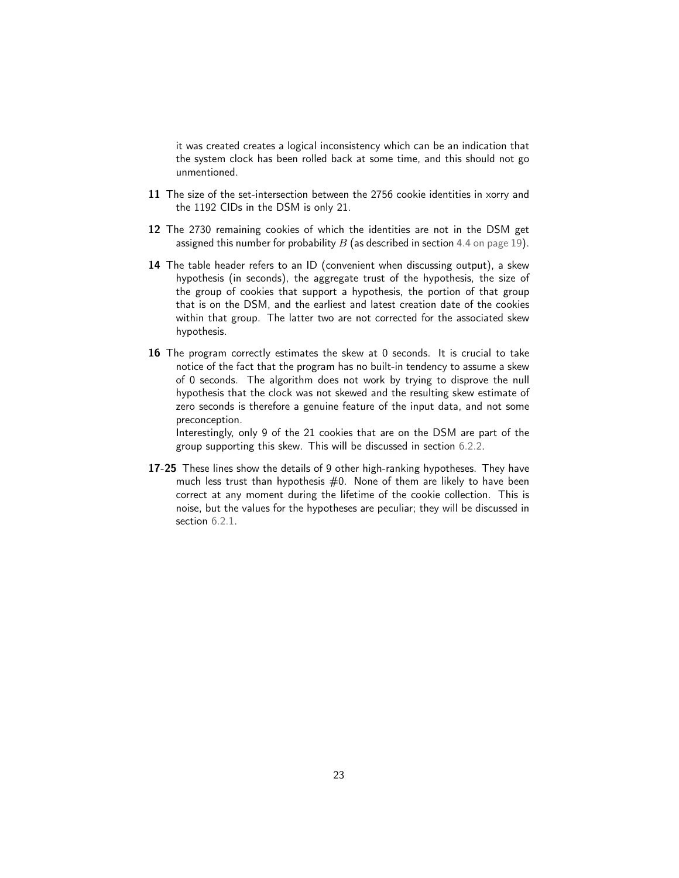it was created creates a logical inconsistency which can be an indication that the system clock has been rolled back at some time, and this should not go unmentioned.

- 11 The size of the set-intersection between the 2756 cookie identities in xorry and the 1192 CIDs in the DSM is only 21.
- 12 The 2730 remaining cookies of which the identities are not in the DSM get assigned this number for probability  $B$  (as described in section [4.4 on page 19\)](#page-18-0).
- 14 The table header refers to an ID (convenient when discussing output), a skew hypothesis (in seconds), the aggregate trust of the hypothesis, the size of the group of cookies that support a hypothesis, the portion of that group that is on the DSM, and the earliest and latest creation date of the cookies within that group. The latter two are not corrected for the associated skew hypothesis.
- 16 The program correctly estimates the skew at 0 seconds. It is crucial to take notice of the fact that the program has no built-in tendency to assume a skew of 0 seconds. The algorithm does not work by trying to disprove the null hypothesis that the clock was not skewed and the resulting skew estimate of zero seconds is therefore a genuine feature of the input data, and not some preconception.

Interestingly, only 9 of the 21 cookies that are on the DSM are part of the group supporting this skew. This will be discussed in section [6.2.2.](#page-29-0)

17-25 These lines show the details of 9 other high-ranking hypotheses. They have much less trust than hypothesis  $#0$ . None of them are likely to have been correct at any moment during the lifetime of the cookie collection. This is noise, but the values for the hypotheses are peculiar; they will be discussed in section  $6.2.1$ .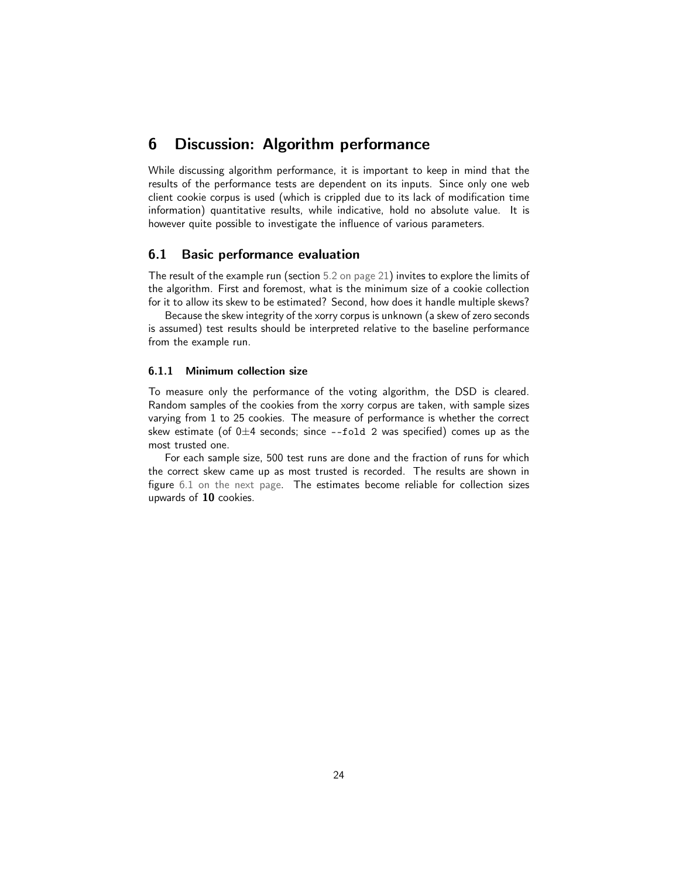# <span id="page-23-0"></span>6 Discussion: Algorithm performance

While discussing algorithm performance, it is important to keep in mind that the results of the performance tests are dependent on its inputs. Since only one web client cookie corpus is used (which is crippled due to its lack of modification time information) quantitative results, while indicative, hold no absolute value. It is however quite possible to investigate the influence of various parameters.

### <span id="page-23-1"></span>6.1 Basic performance evaluation

The result of the example run (section [5.2 on page 21\)](#page-20-0) invites to explore the limits of the algorithm. First and foremost, what is the minimum size of a cookie collection for it to allow its skew to be estimated? Second, how does it handle multiple skews?

Because the skew integrity of the xorry corpus is unknown (a skew of zero seconds is assumed) test results should be interpreted relative to the baseline performance from the example run.

#### <span id="page-23-2"></span>6.1.1 Minimum collection size

To measure only the performance of the voting algorithm, the DSD is cleared. Random samples of the cookies from the xorry corpus are taken, with sample sizes varying from 1 to 25 cookies. The measure of performance is whether the correct skew estimate (of  $0\pm 4$  seconds; since --fold 2 was specified) comes up as the most trusted one.

For each sample size, 500 test runs are done and the fraction of runs for which the correct skew came up as most trusted is recorded. The results are shown in figure [6.1 on the next page.](#page-24-2) The estimates become reliable for collection sizes upwards of 10 cookies.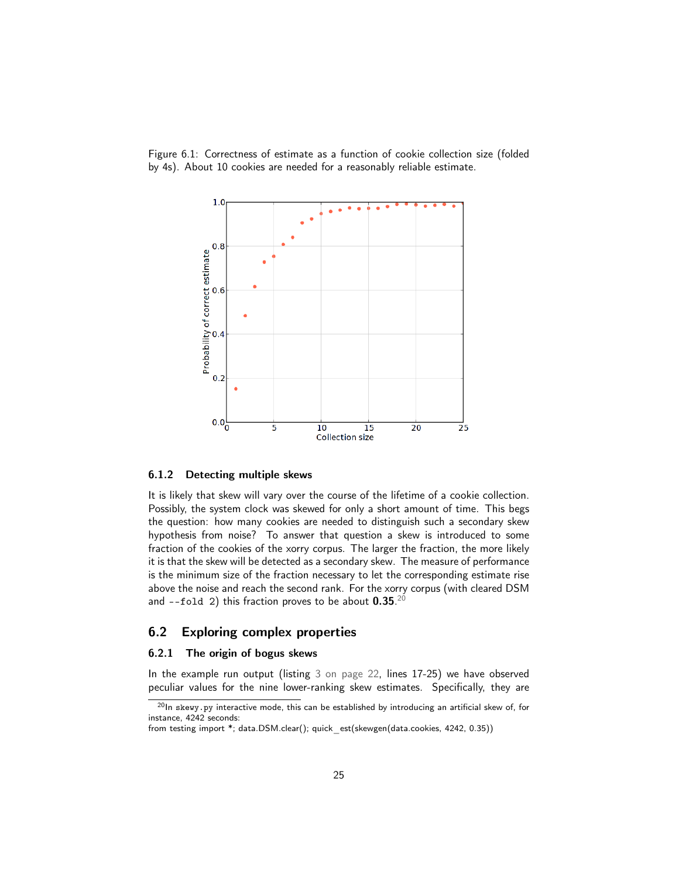Figure 6.1: Correctness of estimate as a function of cookie collection size (folded by 4s). About 10 cookies are needed for a reasonably reliable estimate.

<span id="page-24-2"></span>

#### 6.1.2 Detecting multiple skews

It is likely that skew will vary over the course of the lifetime of a cookie collection. Possibly, the system clock was skewed for only a short amount of time. This begs the question: how many cookies are needed to distinguish such a secondary skew hypothesis from noise? To answer that question a skew is introduced to some fraction of the cookies of the xorry corpus. The larger the fraction, the more likely it is that the skew will be detected as a secondary skew. The measure of performance is the minimum size of the fraction necessary to let the corresponding estimate rise above the noise and reach the second rank. For the xorry corpus (with cleared DSM and --fold 2) this fraction proves to be about  $0.35.^{\scriptscriptstyle 20}$  $0.35.^{\scriptscriptstyle 20}$  $0.35.^{\scriptscriptstyle 20}$ 

#### <span id="page-24-0"></span>6.2 Exploring complex properties

#### <span id="page-24-1"></span>6.2.1 The origin of bogus skews

In the example run output (listing [3 on page 22,](#page-21-0) lines 17-25) we have observed peculiar values for the nine lower-ranking skew estimates. Specifically, they are

<span id="page-24-3"></span> $20$ In skewy.py interactive mode, this can be established by introducing an artificial skew of, for instance, 4242 seconds:

from testing import \*; data.DSM.clear(); quick est(skewgen(data.cookies, 4242, 0.35))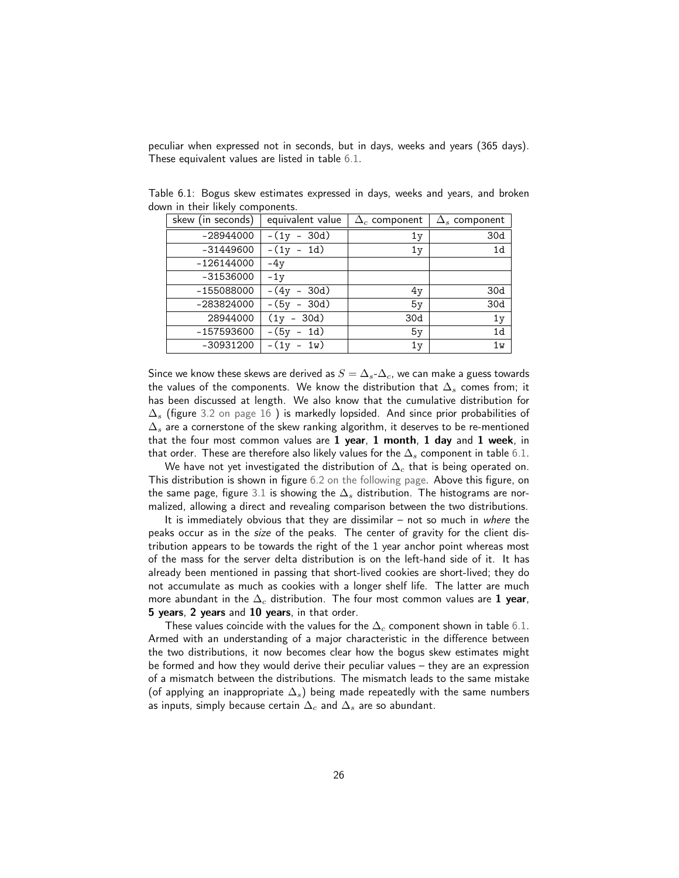peculiar when expressed not in seconds, but in days, weeks and years (365 days). These equivalent values are listed in table [6.1.](#page-25-0)

<span id="page-25-0"></span>

| skew (in seconds) | equivalent value                     | $\Delta_c$ component | $\Delta_s$ component |
|-------------------|--------------------------------------|----------------------|----------------------|
| -28944000         | 30d)<br>$-(1v)$<br>$\qquad \qquad -$ | 1y                   | 30d                  |
| -31449600         | $-(1y - 1d)$                         | 1 <sub>V</sub>       | 1d                   |
| -126144000        | $-4y$                                |                      |                      |
| -31536000         | $-1y$                                |                      |                      |
| -155088000        | – (4y<br>$-30d)$                     | 4y                   | 30d                  |
| -283824000        | $-(5v - 30d)$                        | 5y                   | 30d                  |
| 28944000          | $(1v - 30d)$                         | 30d                  | 1y                   |
| -157593600        | $-(5y - 1d)$                         | 5y                   | 1 <sub>d</sub>       |
| -30931200         | $-(1y - 1w)$                         | 1y                   | 1w                   |

Table 6.1: Bogus skew estimates expressed in days, weeks and years, and broken down in their likely components.

Since we know these skews are derived as  $S = \Delta_s \Delta_c$ , we can make a guess towards the values of the components. We know the distribution that  $\Delta_s$  comes from; it has been discussed at length. We also know that the cumulative distribution for  $\Delta_s$  (figure [3.2 on page 16](#page-15-0)) is markedly lopsided. And since prior probabilities of  $\Delta_s$  are a cornerstone of the skew ranking algorithm, it deserves to be re-mentioned that the four most common values are 1 year, 1 month, 1 day and 1 week, in that order. These are therefore also likely values for the  $\Delta_s$  component in table [6.1.](#page-25-0)

We have not yet investigated the distribution of  $\Delta_c$  that is being operated on. This distribution is shown in figure [6.2 on the following page.](#page-26-1) Above this figure, on the same page, figure [3.1](#page-26-0) is showing the  $\Delta_s$  distribution. The histograms are normalized, allowing a direct and revealing comparison between the two distributions.

It is immediately obvious that they are dissimilar  $-$  not so much in where the peaks occur as in the size of the peaks. The center of gravity for the client distribution appears to be towards the right of the 1 year anchor point whereas most of the mass for the server delta distribution is on the left-hand side of it. It has already been mentioned in passing that short-lived cookies are short-lived; they do not accumulate as much as cookies with a longer shelf life. The latter are much more abundant in the  $\Delta_c$  distribution. The four most common values are 1 year, 5 years, 2 years and 10 years, in that order.

These values coincide with the values for the  $\Delta_c$  component shown in table  $6.1.$ Armed with an understanding of a major characteristic in the difference between the two distributions, it now becomes clear how the bogus skew estimates might be formed and how they would derive their peculiar values – they are an expression of a mismatch between the distributions. The mismatch leads to the same mistake (of applying an inappropriate  $\Delta_s$ ) being made repeatedly with the same numbers as inputs, simply because certain  $\Delta_c$  and  $\Delta_s$  are so abundant.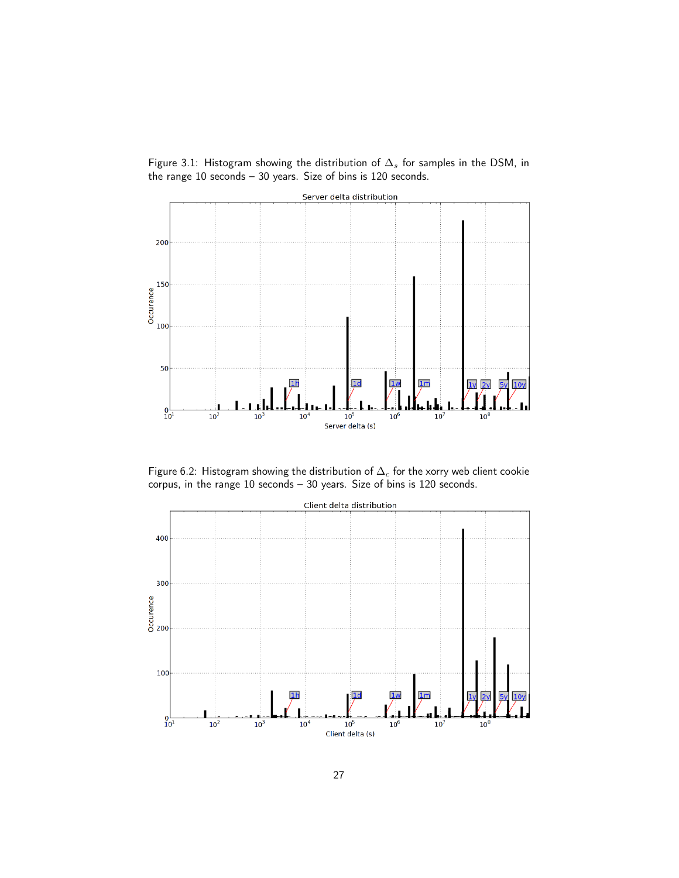<span id="page-26-0"></span>Figure 3.1: Histogram showing the distribution of  $\Delta_s$  for samples in the DSM, in the range 10 seconds – 30 years. Size of bins is 120 seconds.



<span id="page-26-1"></span>Figure 6.2: Histogram showing the distribution of  $\Delta_c$  for the xorry web client cookie corpus, in the range 10 seconds – 30 years. Size of bins is 120 seconds.

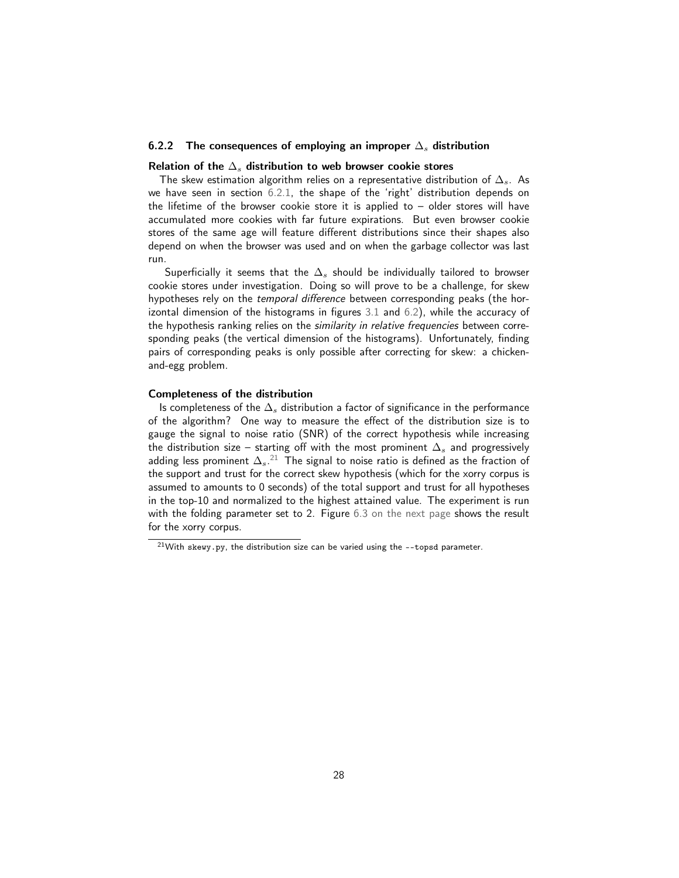#### 6.2.2 The consequences of employing an improper  $\Delta_s$  distribution

#### Relation of the  $\Delta_s$  distribution to web browser cookie stores

The skew estimation algorithm relies on a representative distribution of  $\Delta_{s}$ . As we have seen in section [6.2.1,](#page-24-1) the shape of the 'right' distribution depends on the lifetime of the browser cookie store it is applied to  $-$  older stores will have accumulated more cookies with far future expirations. But even browser cookie stores of the same age will feature different distributions since their shapes also depend on when the browser was used and on when the garbage collector was last run.

Superficially it seems that the  $\Delta_s$  should be individually tailored to browser cookie stores under investigation. Doing so will prove to be a challenge, for skew hypotheses rely on the temporal difference between corresponding peaks (the horizontal dimension of the histograms in figures [3.1](#page-26-0) and [6.2\)](#page-26-1), while the accuracy of the hypothesis ranking relies on the similarity in relative frequencies between corresponding peaks (the vertical dimension of the histograms). Unfortunately, finding pairs of corresponding peaks is only possible after correcting for skew: a chickenand-egg problem.

#### Completeness of the distribution

Is completeness of the  $\Delta_s$  distribution a factor of significance in the performance of the algorithm? One way to measure the effect of the distribution size is to gauge the signal to noise ratio (SNR) of the correct hypothesis while increasing the distribution size – starting off with the most prominent  $\Delta_s$  and progressively adding less prominent  $\Delta_s.^{21}$  $\Delta_s.^{21}$  $\Delta_s.^{21}$  The signal to noise ratio is defined as the fraction of the support and trust for the correct skew hypothesis (which for the xorry corpus is assumed to amounts to 0 seconds) of the total support and trust for all hypotheses in the top-10 and normalized to the highest attained value. The experiment is run with the folding parameter set to 2. Figure [6.3 on the next page](#page-28-0) shows the result for the xorry corpus.

<span id="page-27-0"></span> $21$ With skewy.py, the distribution size can be varied using the --topsd parameter.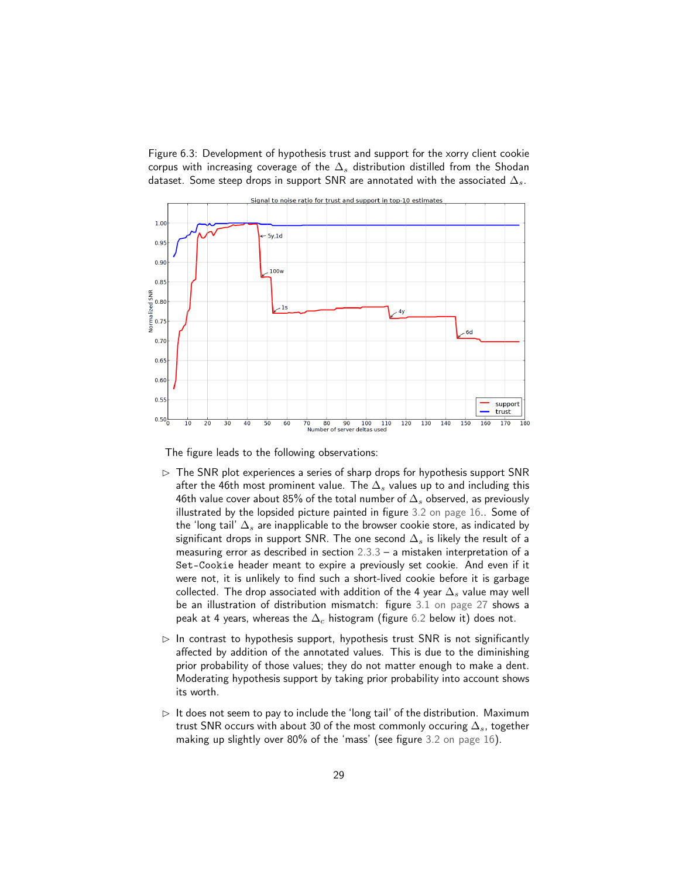<span id="page-28-0"></span>Figure 6.3: Development of hypothesis trust and support for the xorry client cookie corpus with increasing coverage of the  $\Delta_s$  distribution distilled from the Shodan dataset. Some steep drops in support SNR are annotated with the associated  $\Delta_s$ .



The figure leads to the following observations:

- $\triangleright$  The SNR plot experiences a series of sharp drops for hypothesis support SNR after the 46th most prominent value. The  $\Delta_s$  values up to and including this 46th value cover about 85% of the total number of  $\Delta_s$  observed, as previously illustrated by the lopsided picture painted in figure [3.2 on page 16.](#page-15-0). Some of the 'long tail'  $\Delta_s$  are inapplicable to the browser cookie store, as indicated by significant drops in support SNR. The one second  $\Delta_s$  is likely the result of a measuring error as described in section [2.3.3](#page-9-0) – a mistaken interpretation of a Set-Cookie header meant to expire a previously set cookie. And even if it were not, it is unlikely to find such a short-lived cookie before it is garbage collected. The drop associated with addition of the 4 year  $\Delta_s$  value may well be an illustration of distribution mismatch: figure [3.1 on page 27](#page-26-0) shows a peak at 4 years, whereas the  $\Delta_c$  histogram (figure [6.2](#page-26-1) below it) does not.
- $\triangleright$  In contrast to hypothesis support, hypothesis trust SNR is not significantly affected by addition of the annotated values. This is due to the diminishing prior probability of those values; they do not matter enough to make a dent. Moderating hypothesis support by taking prior probability into account shows its worth.
- $\triangleright$  It does not seem to pay to include the 'long tail' of the distribution. Maximum trust SNR occurs with about 30 of the most commonly occuring  $\Delta_s$ , together making up slightly over 80% of the 'mass' (see figure [3.2 on page 16\)](#page-15-0).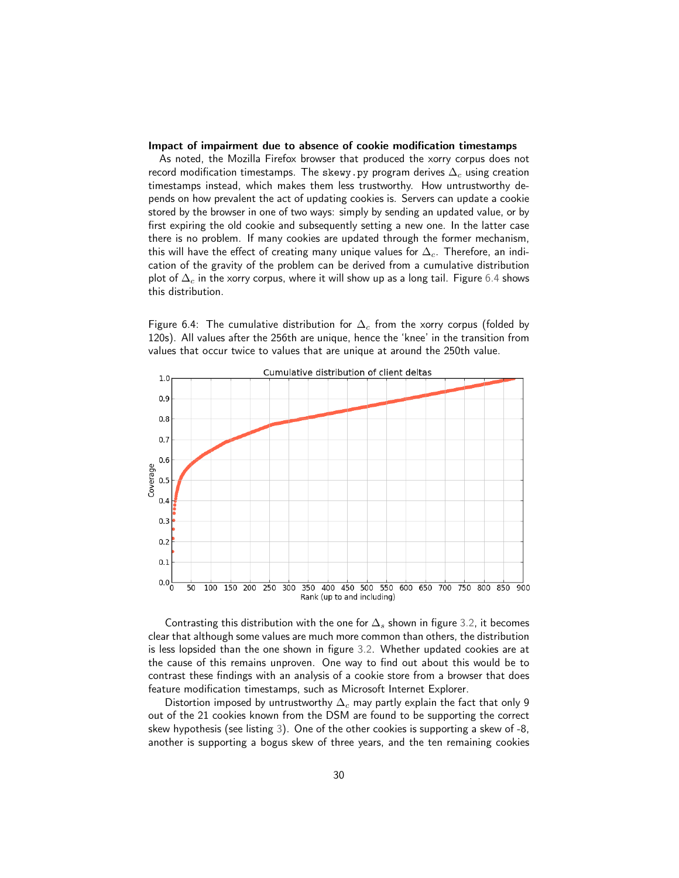#### <span id="page-29-0"></span>Impact of impairment due to absence of cookie modification timestamps

As noted, the Mozilla Firefox browser that produced the xorry corpus does not record modification timestamps. The skewy.py program derives  $\Delta_c$  using creation timestamps instead, which makes them less trustworthy. How untrustworthy depends on how prevalent the act of updating cookies is. Servers can update a cookie stored by the browser in one of two ways: simply by sending an updated value, or by first expiring the old cookie and subsequently setting a new one. In the latter case there is no problem. If many cookies are updated through the former mechanism, this will have the effect of creating many unique values for  $\Delta_c$ . Therefore, an indication of the gravity of the problem can be derived from a cumulative distribution plot of  $\Delta_c$  in the xorry corpus, where it will show up as a long tail. Figure [6.4](#page-29-1) shows this distribution.

<span id="page-29-1"></span>Figure 6.4: The cumulative distribution for  $\Delta_c$  from the xorry corpus (folded by 120s). All values after the 256th are unique, hence the 'knee' in the transition from values that occur twice to values that are unique at around the 250th value.



Contrasting this distribution with the one for  $\Delta_s$  shown in figure [3.2,](#page-15-0) it becomes clear that although some values are much more common than others, the distribution is less lopsided than the one shown in figure [3.2.](#page-15-0) Whether updated cookies are at the cause of this remains unproven. One way to find out about this would be to contrast these findings with an analysis of a cookie store from a browser that does feature modification timestamps, such as Microsoft Internet Explorer.

Distortion imposed by untrustworthy  $\Delta_c$  may partly explain the fact that only 9 out of the 21 cookies known from the DSM are found to be supporting the correct skew hypothesis (see listing [3\)](#page-21-0). One of the other cookies is supporting a skew of -8, another is supporting a bogus skew of three years, and the ten remaining cookies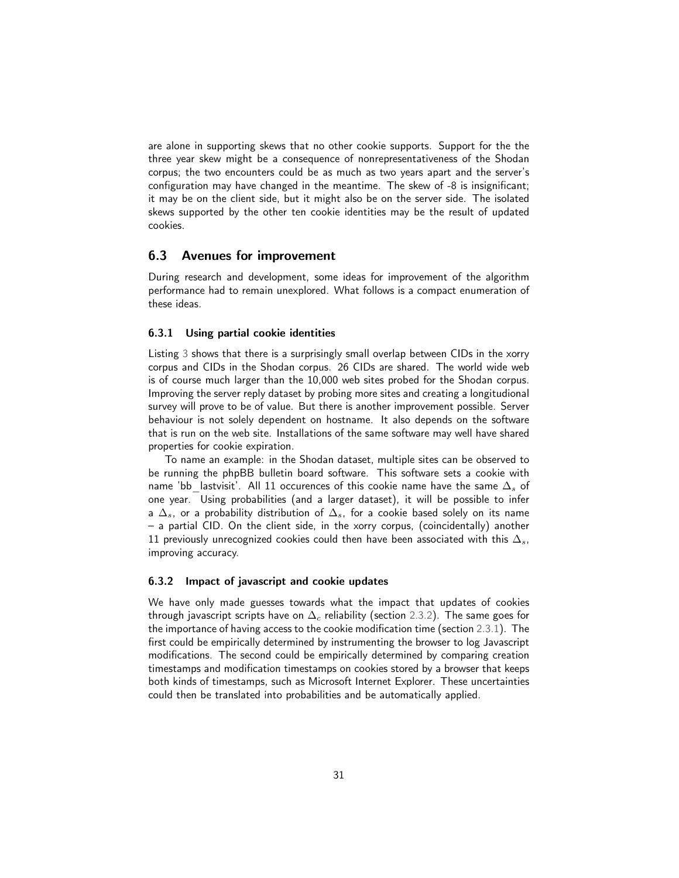are alone in supporting skews that no other cookie supports. Support for the the three year skew might be a consequence of nonrepresentativeness of the Shodan corpus; the two encounters could be as much as two years apart and the server's configuration may have changed in the meantime. The skew of -8 is insignificant; it may be on the client side, but it might also be on the server side. The isolated skews supported by the other ten cookie identities may be the result of updated cookies.

## <span id="page-30-0"></span>6.3 Avenues for improvement

During research and development, some ideas for improvement of the algorithm performance had to remain unexplored. What follows is a compact enumeration of these ideas.

#### 6.3.1 Using partial cookie identities

Listing [3](#page-21-0) shows that there is a surprisingly small overlap between CIDs in the xorry corpus and CIDs in the Shodan corpus. 26 CIDs are shared. The world wide web is of course much larger than the 10,000 web sites probed for the Shodan corpus. Improving the server reply dataset by probing more sites and creating a longitudional survey will prove to be of value. But there is another improvement possible. Server behaviour is not solely dependent on hostname. It also depends on the software that is run on the web site. Installations of the same software may well have shared properties for cookie expiration.

To name an example: in the Shodan dataset, multiple sites can be observed to be running the phpBB bulletin board software. This software sets a cookie with name 'bb\_lastvisit'. All 11 occurences of this cookie name have the same  $\Delta_s$  of one year. Using probabilities (and a larger dataset), it will be possible to infer a  $\Delta_s$ , or a probability distribution of  $\Delta_s$ , for a cookie based solely on its name – a partial CID. On the client side, in the xorry corpus, (coincidentally) another 11 previously unrecognized cookies could then have been associated with this  $\Delta_s$ , improving accuracy.

#### 6.3.2 Impact of javascript and cookie updates

We have only made guesses towards what the impact that updates of cookies through javascript scripts have on  $\Delta_c$  reliability (section [2.3.2\)](#page-8-3). The same goes for the importance of having access to the cookie modification time (section [2.3.1\)](#page-8-4). The first could be empirically determined by instrumenting the browser to log Javascript modifications. The second could be empirically determined by comparing creation timestamps and modification timestamps on cookies stored by a browser that keeps both kinds of timestamps, such as Microsoft Internet Explorer. These uncertainties could then be translated into probabilities and be automatically applied.